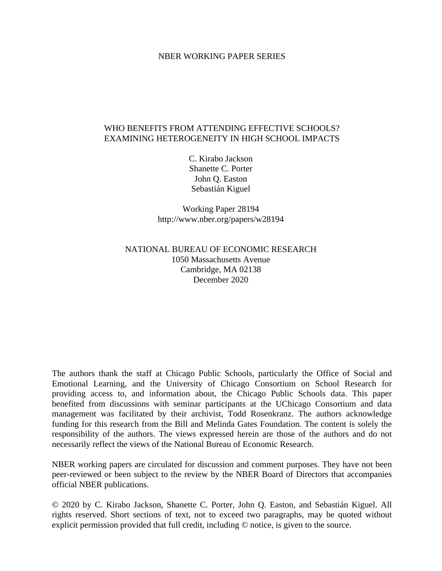#### NBER WORKING PAPER SERIES

#### WHO BENEFITS FROM ATTENDING EFFECTIVE SCHOOLS? EXAMINING HETEROGENEITY IN HIGH SCHOOL IMPACTS

C. Kirabo Jackson Shanette C. Porter John Q. Easton Sebastián Kiguel

Working Paper 28194 http://www.nber.org/papers/w28194

### NATIONAL BUREAU OF ECONOMIC RESEARCH 1050 Massachusetts Avenue Cambridge, MA 02138 December 2020

The authors thank the staff at Chicago Public Schools, particularly the Office of Social and Emotional Learning, and the University of Chicago Consortium on School Research for providing access to, and information about, the Chicago Public Schools data. This paper benefited from discussions with seminar participants at the UChicago Consortium and data management was facilitated by their archivist, Todd Rosenkranz. The authors acknowledge funding for this research from the Bill and Melinda Gates Foundation. The content is solely the responsibility of the authors. The views expressed herein are those of the authors and do not necessarily reflect the views of the National Bureau of Economic Research.

NBER working papers are circulated for discussion and comment purposes. They have not been peer-reviewed or been subject to the review by the NBER Board of Directors that accompanies official NBER publications.

© 2020 by C. Kirabo Jackson, Shanette C. Porter, John Q. Easton, and Sebastián Kiguel. All rights reserved. Short sections of text, not to exceed two paragraphs, may be quoted without explicit permission provided that full credit, including © notice, is given to the source.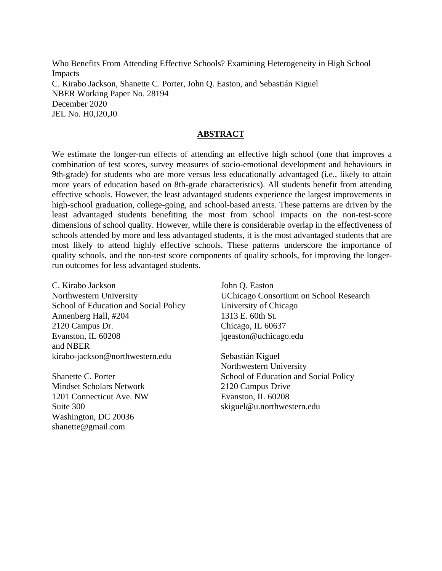Who Benefits From Attending Effective Schools? Examining Heterogeneity in High School Impacts C. Kirabo Jackson, Shanette C. Porter, John Q. Easton, and Sebastián Kiguel NBER Working Paper No. 28194 December 2020 JEL No. H0,I20,J0

#### **ABSTRACT**

We estimate the longer-run effects of attending an effective high school (one that improves a combination of test scores, survey measures of socio-emotional development and behaviours in 9th-grade) for students who are more versus less educationally advantaged (i.e., likely to attain more years of education based on 8th-grade characteristics). All students benefit from attending effective schools. However, the least advantaged students experience the largest improvements in high-school graduation, college-going, and school-based arrests. These patterns are driven by the least advantaged students benefiting the most from school impacts on the non-test-score dimensions of school quality. However, while there is considerable overlap in the effectiveness of schools attended by more and less advantaged students, it is the most advantaged students that are most likely to attend highly effective schools. These patterns underscore the importance of quality schools, and the non-test score components of quality schools, for improving the longerrun outcomes for less advantaged students.

C. Kirabo Jackson Northwestern University School of Education and Social Policy Annenberg Hall, #204 2120 Campus Dr. Evanston, IL 60208 and NBER kirabo-jackson@northwestern.edu

Shanette C. Porter Mindset Scholars Network 1201 Connecticut Ave. NW Suite 300 Washington, DC 20036 shanette@gmail.com

John Q. Easton UChicago Consortium on School Research University of Chicago 1313 E. 60th St. Chicago, IL 60637 jqeaston@uchicago.edu

Sebastián Kiguel Northwestern University School of Education and Social Policy 2120 Campus Drive Evanston, IL 60208 skiguel@u.northwestern.edu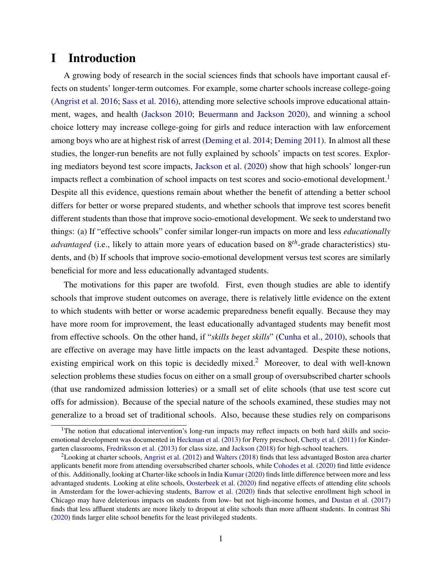# I Introduction

A growing body of research in the social sciences finds that schools have important causal effects on students' longer-term outcomes. For example, some charter schools increase college-going [\(Angrist et al. 2016;](#page-25-0) [Sass et al. 2016\)](#page-27-0), attending more selective schools improve educational attainment, wages, and health [\(Jackson 2010;](#page-26-0) [Beuermann and Jackson 2020\)](#page-25-1), and winning a school choice lottery may increase college-going for girls and reduce interaction with law enforcement among boys who are at highest risk of arrest [\(Deming et al. 2014;](#page-26-1) [Deming 2011\)](#page-26-2). In almost all these studies, the longer-run benefits are not fully explained by schools' impacts on test scores. Exploring mediators beyond test score impacts, [Jackson et al.](#page-26-3) [\(2020\)](#page-26-3) show that high schools' longer-run impacts reflect a combination of school impacts on test scores and socio-emotional development.<sup>[1](#page--1-0)</sup> Despite all this evidence, questions remain about whether the benefit of attending a better school differs for better or worse prepared students, and whether schools that improve test scores benefit different students than those that improve socio-emotional development. We seek to understand two things: (a) If "effective schools" confer similar longer-run impacts on more and less *educationally advantaged* (i.e., likely to attain more years of education based on 8*th*-grade characteristics) students, and (b) If schools that improve socio-emotional development versus test scores are similarly beneficial for more and less educationally advantaged students.

The motivations for this paper are twofold. First, even though studies are able to identify schools that improve student outcomes on average, there is relatively little evidence on the extent to which students with better or worse academic preparedness benefit equally. Because they may have more room for improvement, the least educationally advantaged students may benefit most from effective schools. On the other hand, if "*skills beget skills*" [\(Cunha et al.,](#page-25-2) [2010\)](#page-25-2), schools that are effective on average may have little impacts on the least advantaged. Despite these notions, existing empirical work on this topic is decidedly mixed.<sup>[2](#page--1-0)</sup> Moreover, to deal with well-known selection problems these studies focus on either on a small group of oversubscribed charter schools (that use randomized admission lotteries) or a small set of elite schools (that use test score cut offs for admission). Because of the special nature of the schools examined, these studies may not generalize to a broad set of traditional schools. Also, because these studies rely on comparisons

<sup>&</sup>lt;sup>1</sup>The notion that educational intervention's long-run impacts may reflect impacts on both hard skills and socioemotional development was documented in [Heckman et al.](#page-26-4) [\(2013\)](#page-26-4) for Perry preschool, [Chetty et al.](#page-25-3) [\(2011\)](#page-25-3) for Kindergarten classrooms, [Fredriksson et al.](#page-26-5) [\(2013\)](#page-26-5) for class size, and [Jackson](#page-26-6) [\(2018\)](#page-26-6) for high-school teachers.

<sup>2</sup>Looking at charter schools, [Angrist et al.](#page-25-4) [\(2012\)](#page-25-4) and [Walters](#page-27-1) [\(2018\)](#page-27-1) finds that less advantaged Boston area charter applicants benefit more from attending oversubscribed charter schools, while [Cohodes et al.](#page-25-5) [\(2020\)](#page-25-5) find little evidence of this. Additionally, looking at Charter-like schools in India [Kumar](#page-27-2) [\(2020\)](#page-27-2) finds little difference between more and less advantaged students. Looking at elite schools, [Oosterbeek et al.](#page-27-3) [\(2020\)](#page-27-3) find negative effects of attending elite schools in Amsterdam for the lower-achieving students, [Barrow et al.](#page-25-6) [\(2020\)](#page-25-6) finds that selective enrollment high school in Chicago may have deleterious impacts on students from low- but not high-income homes, and [Dustan et al.](#page-26-7) [\(2017\)](#page-26-7) finds that less affluent students are more likely to dropout at elite schools than more affluent students. In contrast [Shi](#page-27-4) [\(2020\)](#page-27-4) finds larger elite school benefits for the least privileged students.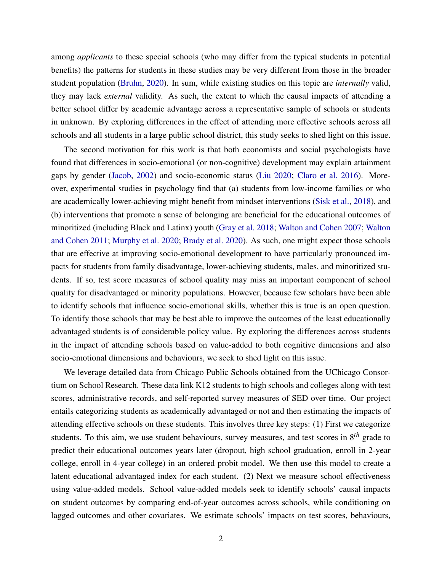among *applicants* to these special schools (who may differ from the typical students in potential benefits) the patterns for students in these studies may be very different from those in the broader student population [\(Bruhn,](#page-25-7) [2020\)](#page-25-7). In sum, while existing studies on this topic are *internally* valid, they may lack *external* validity. As such, the extent to which the causal impacts of attending a better school differ by academic advantage across a representative sample of schools or students in unknown. By exploring differences in the effect of attending more effective schools across all schools and all students in a large public school district, this study seeks to shed light on this issue.

The second motivation for this work is that both economists and social psychologists have found that differences in socio-emotional (or non-cognitive) development may explain attainment gaps by gender [\(Jacob,](#page-26-8) [2002\)](#page-26-8) and socio-economic status [\(Liu 2020;](#page-27-5) [Claro et al. 2016\)](#page-25-8). Moreover, experimental studies in psychology find that (a) students from low-income families or who are academically lower-achieving might benefit from mindset interventions [\(Sisk et al.,](#page-27-6) [2018\)](#page-27-6), and (b) interventions that promote a sense of belonging are beneficial for the educational outcomes of minoritized (including Black and Latinx) youth [\(Gray et al. 2018;](#page-26-9) [Walton and Cohen 2007;](#page-27-7) [Walton](#page-28-0) [and Cohen 2011;](#page-28-0) [Murphy et al. 2020;](#page-27-8) [Brady et al. 2020\)](#page-25-9). As such, one might expect those schools that are effective at improving socio-emotional development to have particularly pronounced impacts for students from family disadvantage, lower-achieving students, males, and minoritized students. If so, test score measures of school quality may miss an important component of school quality for disadvantaged or minority populations. However, because few scholars have been able to identify schools that influence socio-emotional skills, whether this is true is an open question. To identify those schools that may be best able to improve the outcomes of the least educationally advantaged students is of considerable policy value. By exploring the differences across students in the impact of attending schools based on value-added to both cognitive dimensions and also socio-emotional dimensions and behaviours, we seek to shed light on this issue.

We leverage detailed data from Chicago Public Schools obtained from the UChicago Consortium on School Research. These data link K12 students to high schools and colleges along with test scores, administrative records, and self-reported survey measures of SED over time. Our project entails categorizing students as academically advantaged or not and then estimating the impacts of attending effective schools on these students. This involves three key steps: (1) First we categorize students. To this aim, we use student behaviours, survey measures, and test scores in 8*th* grade to predict their educational outcomes years later (dropout, high school graduation, enroll in 2-year college, enroll in 4-year college) in an ordered probit model. We then use this model to create a latent educational advantaged index for each student. (2) Next we measure school effectiveness using value-added models. School value-added models seek to identify schools' causal impacts on student outcomes by comparing end-of-year outcomes across schools, while conditioning on lagged outcomes and other covariates. We estimate schools' impacts on test scores, behaviours,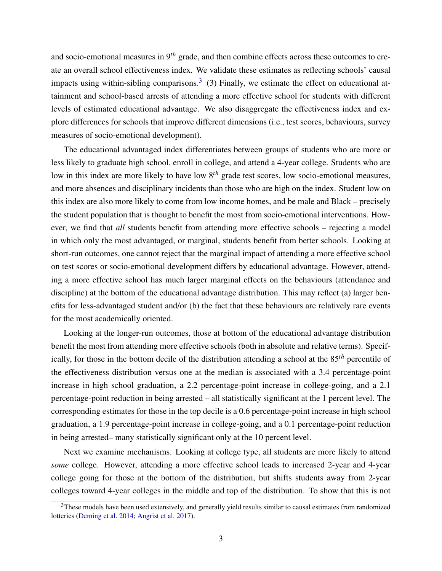and socio-emotional measures in 9*th* grade, and then combine effects across these outcomes to create an overall school effectiveness index. We validate these estimates as reflecting schools' causal impacts using within-sibling comparisons.<sup>[3](#page--1-0)</sup> (3) Finally, we estimate the effect on educational attainment and school-based arrests of attending a more effective school for students with different levels of estimated educational advantage. We also disaggregate the effectiveness index and explore differences for schools that improve different dimensions (i.e., test scores, behaviours, survey measures of socio-emotional development).

The educational advantaged index differentiates between groups of students who are more or less likely to graduate high school, enroll in college, and attend a 4-year college. Students who are low in this index are more likely to have low 8*th* grade test scores, low socio-emotional measures, and more absences and disciplinary incidents than those who are high on the index. Student low on this index are also more likely to come from low income homes, and be male and Black – precisely the student population that is thought to benefit the most from socio-emotional interventions. However, we find that *all* students benefit from attending more effective schools – rejecting a model in which only the most advantaged, or marginal, students benefit from better schools. Looking at short-run outcomes, one cannot reject that the marginal impact of attending a more effective school on test scores or socio-emotional development differs by educational advantage. However, attending a more effective school has much larger marginal effects on the behaviours (attendance and discipline) at the bottom of the educational advantage distribution. This may reflect (a) larger benefits for less-advantaged student and/or (b) the fact that these behaviours are relatively rare events for the most academically oriented.

Looking at the longer-run outcomes, those at bottom of the educational advantage distribution benefit the most from attending more effective schools (both in absolute and relative terms). Specifically, for those in the bottom decile of the distribution attending a school at the 85*th* percentile of the effectiveness distribution versus one at the median is associated with a 3.4 percentage-point increase in high school graduation, a 2.2 percentage-point increase in college-going, and a 2.1 percentage-point reduction in being arrested – all statistically significant at the 1 percent level. The corresponding estimates for those in the top decile is a 0.6 percentage-point increase in high school graduation, a 1.9 percentage-point increase in college-going, and a 0.1 percentage-point reduction in being arrested– many statistically significant only at the 10 percent level.

Next we examine mechanisms. Looking at college type, all students are more likely to attend *some* college. However, attending a more effective school leads to increased 2-year and 4-year college going for those at the bottom of the distribution, but shifts students away from 2-year colleges toward 4-year colleges in the middle and top of the distribution. To show that this is not

<sup>&</sup>lt;sup>3</sup>These models have been used extensively, and generally yield results similar to causal estimates from randomized lotteries [\(Deming et al. 2014;](#page-26-1) [Angrist et al. 2017\)](#page-25-10).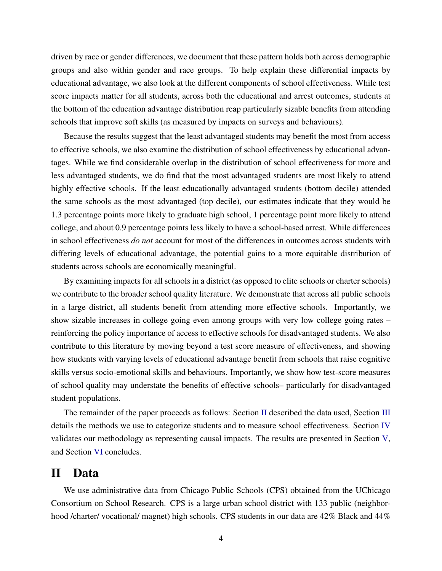driven by race or gender differences, we document that these pattern holds both across demographic groups and also within gender and race groups. To help explain these differential impacts by educational advantage, we also look at the different components of school effectiveness. While test score impacts matter for all students, across both the educational and arrest outcomes, students at the bottom of the education advantage distribution reap particularly sizable benefits from attending schools that improve soft skills (as measured by impacts on surveys and behaviours).

Because the results suggest that the least advantaged students may benefit the most from access to effective schools, we also examine the distribution of school effectiveness by educational advantages. While we find considerable overlap in the distribution of school effectiveness for more and less advantaged students, we do find that the most advantaged students are most likely to attend highly effective schools. If the least educationally advantaged students (bottom decile) attended the same schools as the most advantaged (top decile), our estimates indicate that they would be 1.3 percentage points more likely to graduate high school, 1 percentage point more likely to attend college, and about 0.9 percentage points less likely to have a school-based arrest. While differences in school effectiveness *do not* account for most of the differences in outcomes across students with differing levels of educational advantage, the potential gains to a more equitable distribution of students across schools are economically meaningful.

By examining impacts for all schools in a district (as opposed to elite schools or charter schools) we contribute to the broader school quality literature. We demonstrate that across all public schools in a large district, all students benefit from attending more effective schools. Importantly, we show sizable increases in college going even among groups with very low college going rates – reinforcing the policy importance of access to effective schools for disadvantaged students. We also contribute to this literature by moving beyond a test score measure of effectiveness, and showing how students with varying levels of educational advantage benefit from schools that raise cognitive skills versus socio-emotional skills and behaviours. Importantly, we show how test-score measures of school quality may understate the benefits of effective schools– particularly for disadvantaged student populations.

The remainder of the paper proceeds as follows: Section [II](#page-5-0) described the data used, Section [III](#page-7-0) details the methods we use to categorize students and to measure school effectiveness. Section [IV](#page-13-0) validates our methodology as representing causal impacts. The results are presented in Section [V,](#page-16-0) and Section [VI](#page-23-0) concludes.

# <span id="page-5-0"></span>II Data

We use administrative data from Chicago Public Schools (CPS) obtained from the UChicago Consortium on School Research. CPS is a large urban school district with 133 public (neighborhood /charter/ vocational/ magnet) high schools. CPS students in our data are 42% Black and 44%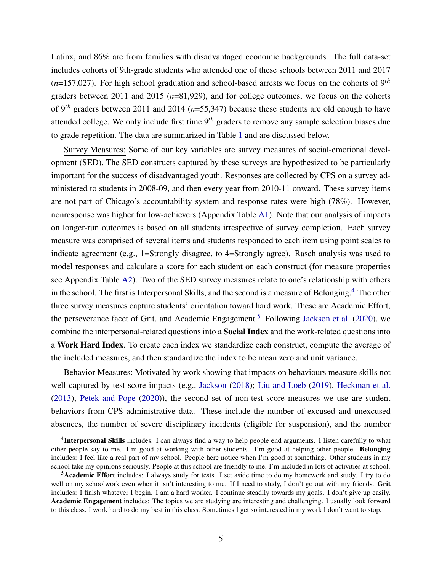Latinx, and 86% are from families with disadvantaged economic backgrounds. The full data-set includes cohorts of 9th-grade students who attended one of these schools between 2011 and 2017 (*n*=157,027). For high school graduation and school-based arrests we focus on the cohorts of 9*th* graders between 2011 and 2015 (*n*=81,929), and for college outcomes, we focus on the cohorts of 9*th* graders between 2011 and 2014 (*n*=55,347) because these students are old enough to have attended college. We only include first time 9*th* graders to remove any sample selection biases due to grade repetition. The data are summarized in Table [1](#page-29-0) and are discussed below.

Survey Measures: Some of our key variables are survey measures of social-emotional development (SED). The SED constructs captured by these surveys are hypothesized to be particularly important for the success of disadvantaged youth. Responses are collected by CPS on a survey administered to students in 2008-09, and then every year from 2010-11 onward. These survey items are not part of Chicago's accountability system and response rates were high (78%). However, nonresponse was higher for low-achievers (Appendix Table [A1\)](#page-39-0). Note that our analysis of impacts on longer-run outcomes is based on all students irrespective of survey completion. Each survey measure was comprised of several items and students responded to each item using point scales to indicate agreement (e.g., 1=Strongly disagree, to 4=Strongly agree). Rasch analysis was used to model responses and calculate a score for each student on each construct (for measure properties see Appendix Table [A2\)](#page-40-0). Two of the SED survey measures relate to one's relationship with others in the school. The first is Interpersonal Skills, and the second is a measure of Belonging.<sup>[4](#page--1-0)</sup> The other three survey measures capture students' orientation toward hard work. These are Academic Effort, the perseverance facet of Grit, and Academic Engagement.<sup>[5](#page--1-0)</sup> Following [Jackson et al.](#page-26-3) [\(2020\)](#page-26-3), we combine the interpersonal-related questions into a Social Index and the work-related questions into a Work Hard Index. To create each index we standardize each construct, compute the average of the included measures, and then standardize the index to be mean zero and unit variance.

Behavior Measures: Motivated by work showing that impacts on behaviours measure skills not well captured by test score impacts (e.g., [Jackson](#page-26-6) [\(2018\)](#page-26-6); [Liu and Loeb](#page-27-9) [\(2019\)](#page-27-9), [Heckman et al.](#page-26-4) [\(2013\)](#page-26-4), [Petek and Pope](#page-27-10) [\(2020\)](#page-27-10)), the second set of non-test score measures we use are student behaviors from CPS administrative data. These include the number of excused and unexcused absences, the number of severe disciplinary incidents (eligible for suspension), and the number

<sup>&</sup>lt;sup>4</sup>Interpersonal Skills includes: I can always find a way to help people end arguments. I listen carefully to what other people say to me. I'm good at working with other students. I'm good at helping other people. Belonging includes: I feel like a real part of my school. People here notice when I'm good at something. Other students in my school take my opinions seriously. People at this school are friendly to me. I'm included in lots of activities at school.

<sup>5</sup>Academic Effort includes: I always study for tests. I set aside time to do my homework and study. I try to do well on my schoolwork even when it isn't interesting to me. If I need to study, I don't go out with my friends. Grit includes: I finish whatever I begin. I am a hard worker. I continue steadily towards my goals. I don't give up easily. Academic Engagement includes: The topics we are studying are interesting and challenging. I usually look forward to this class. I work hard to do my best in this class. Sometimes I get so interested in my work I don't want to stop.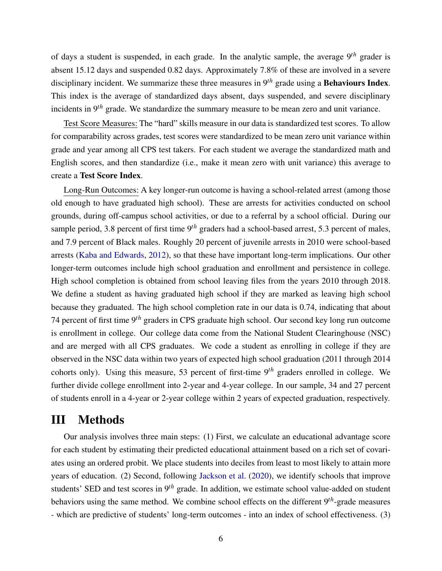of days a student is suspended, in each grade. In the analytic sample, the average 9*th* grader is absent 15.12 days and suspended 0.82 days. Approximately 7.8% of these are involved in a severe disciplinary incident. We summarize these three measures in 9*th* grade using a Behaviours Index. This index is the average of standardized days absent, days suspended, and severe disciplinary incidents in 9*th* grade. We standardize the summary measure to be mean zero and unit variance.

Test Score Measures: The "hard" skills measure in our data is standardized test scores. To allow for comparability across grades, test scores were standardized to be mean zero unit variance within grade and year among all CPS test takers. For each student we average the standardized math and English scores, and then standardize (i.e., make it mean zero with unit variance) this average to create a Test Score Index.

Long-Run Outcomes: A key longer-run outcome is having a school-related arrest (among those old enough to have graduated high school). These are arrests for activities conducted on school grounds, during off-campus school activities, or due to a referral by a school official. During our sample period, 3.8 percent of first time 9*th* graders had a school-based arrest, 5.3 percent of males, and 7.9 percent of Black males. Roughly 20 percent of juvenile arrests in 2010 were school-based arrests [\(Kaba and Edwards,](#page-27-11) [2012\)](#page-27-11), so that these have important long-term implications. Our other longer-term outcomes include high school graduation and enrollment and persistence in college. High school completion is obtained from school leaving files from the years 2010 through 2018. We define a student as having graduated high school if they are marked as leaving high school because they graduated. The high school completion rate in our data is 0.74, indicating that about 74 percent of first time 9*th* graders in CPS graduate high school. Our second key long run outcome is enrollment in college. Our college data come from the National Student Clearinghouse (NSC) and are merged with all CPS graduates. We code a student as enrolling in college if they are observed in the NSC data within two years of expected high school graduation (2011 through 2014 cohorts only). Using this measure, 53 percent of first-time 9*th* graders enrolled in college. We further divide college enrollment into 2-year and 4-year college. In our sample, 34 and 27 percent of students enroll in a 4-year or 2-year college within 2 years of expected graduation, respectively.

# <span id="page-7-0"></span>III Methods

Our analysis involves three main steps: (1) First, we calculate an educational advantage score for each student by estimating their predicted educational attainment based on a rich set of covariates using an ordered probit. We place students into deciles from least to most likely to attain more years of education. (2) Second, following [Jackson et al.](#page-26-3) [\(2020\)](#page-26-3), we identify schools that improve students' SED and test scores in 9*th* grade. In addition, we estimate school value-added on student behaviors using the same method. We combine school effects on the different 9*th*-grade measures - which are predictive of students' long-term outcomes - into an index of school effectiveness. (3)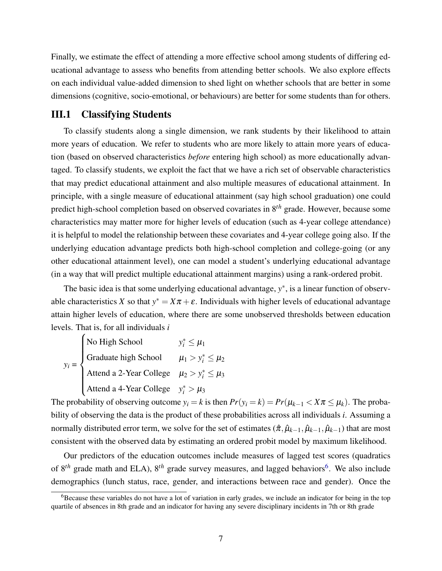Finally, we estimate the effect of attending a more effective school among students of differing educational advantage to assess who benefits from attending better schools. We also explore effects on each individual value-added dimension to shed light on whether schools that are better in some dimensions (cognitive, socio-emotional, or behaviours) are better for some students than for others.

### III.1 Classifying Students

To classify students along a single dimension, we rank students by their likelihood to attain more years of education. We refer to students who are more likely to attain more years of education (based on observed characteristics *before* entering high school) as more educationally advantaged. To classify students, we exploit the fact that we have a rich set of observable characteristics that may predict educational attainment and also multiple measures of educational attainment. In principle, with a single measure of educational attainment (say high school graduation) one could predict high-school completion based on observed covariates in 8*th* grade. However, because some characteristics may matter more for higher levels of education (such as 4-year college attendance) it is helpful to model the relationship between these covariates and 4-year college going also. If the underlying education advantage predicts both high-school completion and college-going (or any other educational attainment level), one can model a student's underlying educational advantage (in a way that will predict multiple educational attainment margins) using a rank-ordered probit.

The basic idea is that some underlying educational advantage,  $y^*$ , is a linear function of observable characteristics *X* so that  $y^* = X\pi + \varepsilon$ . Individuals with higher levels of educational advantage attain higher levels of education, where there are some unobserved thresholds between education levels. That is, for all individuals *i*

| V <sub>i</sub> =<br>Staduate high School $y_i^* \leq \mu_1$<br>Graduate high School $\mu_1 > y_i^* \leq \mu_2$<br>Attend a 2-Year College $\mu_2 > y_i^* \leq \mu_2$ |  |
|----------------------------------------------------------------------------------------------------------------------------------------------------------------------|--|
|                                                                                                                                                                      |  |
| Attend a 4-Year College $y_i^* > \mu_3$                                                                                                                              |  |

The probability of observing outcome  $y_i = k$  is then  $Pr(y_i = k) = Pr(\mu_{k-1} < X \pi \leq \mu_k)$ . The probability of observing the data is the product of these probabilities across all individuals *i*. Assuming a normally distributed error term, we solve for the set of estimates  $(\hat{\pi}, \hat{\mu}_{k-1}, \hat{\mu}_{k-1}, \hat{\mu}_{k-1})$  that are most consistent with the observed data by estimating an ordered probit model by maximum likelihood.

Our predictors of the education outcomes include measures of lagged test scores (quadratics of 8<sup>th</sup> grade math and ELA), 8<sup>th</sup> grade survey measures, and lagged behaviors<sup>[6](#page--1-0)</sup>. We also include demographics (lunch status, race, gender, and interactions between race and gender). Once the

<sup>&</sup>lt;sup>6</sup>Because these variables do not have a lot of variation in early grades, we include an indicator for being in the top quartile of absences in 8th grade and an indicator for having any severe disciplinary incidents in 7th or 8th grade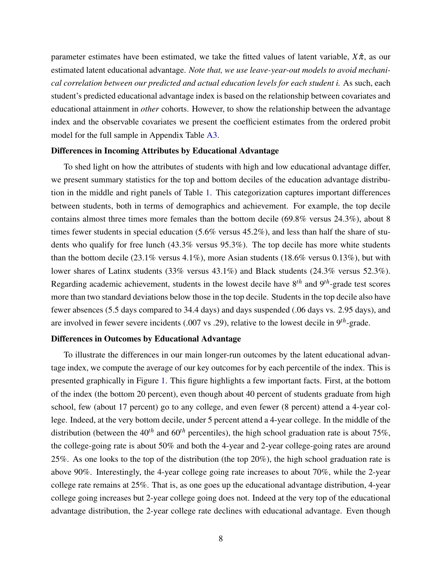parameter estimates have been estimated, we take the fitted values of latent variable,  $X\hat{\pi}$ , as our estimated latent educational advantage. *Note that, we use leave-year-out models to avoid mechanical correlation between our predicted and actual education levels for each student i.* As such, each student's predicted educational advantage index is based on the relationship between covariates and educational attainment in *other* cohorts. However, to show the relationship between the advantage index and the observable covariates we present the coefficient estimates from the ordered probit model for the full sample in Appendix Table [A3.](#page-41-0)

#### Differences in Incoming Attributes by Educational Advantage

To shed light on how the attributes of students with high and low educational advantage differ, we present summary statistics for the top and bottom deciles of the education advantage distribution in the middle and right panels of Table [1.](#page-29-0) This categorization captures important differences between students, both in terms of demographics and achievement. For example, the top decile contains almost three times more females than the bottom decile (69.8% versus 24.3%), about 8 times fewer students in special education (5.6% versus 45.2%), and less than half the share of students who qualify for free lunch (43.3% versus 95.3%). The top decile has more white students than the bottom decile (23.1% versus 4.1%), more Asian students (18.6% versus 0.13%), but with lower shares of Latinx students (33% versus 43.1%) and Black students (24.3% versus 52.3%). Regarding academic achievement, students in the lowest decile have 8*th* and 9*th*-grade test scores more than two standard deviations below those in the top decile. Students in the top decile also have fewer absences (5.5 days compared to 34.4 days) and days suspended (.06 days vs. 2.95 days), and are involved in fewer severe incidents (.007 vs .29), relative to the lowest decile in 9*th*-grade.

#### Differences in Outcomes by Educational Advantage

To illustrate the differences in our main longer-run outcomes by the latent educational advantage index, we compute the average of our key outcomes for by each percentile of the index. This is presented graphically in Figure [1.](#page-33-0) This figure highlights a few important facts. First, at the bottom of the index (the bottom 20 percent), even though about 40 percent of students graduate from high school, few (about 17 percent) go to any college, and even fewer (8 percent) attend a 4-year college. Indeed, at the very bottom decile, under 5 percent attend a 4-year college. In the middle of the distribution (between the  $40^{th}$  and  $60^{th}$  percentiles), the high school graduation rate is about 75%, the college-going rate is about 50% and both the 4-year and 2-year college-going rates are around 25%. As one looks to the top of the distribution (the top 20%), the high school graduation rate is above 90%. Interestingly, the 4-year college going rate increases to about 70%, while the 2-year college rate remains at 25%. That is, as one goes up the educational advantage distribution, 4-year college going increases but 2-year college going does not. Indeed at the very top of the educational advantage distribution, the 2-year college rate declines with educational advantage. Even though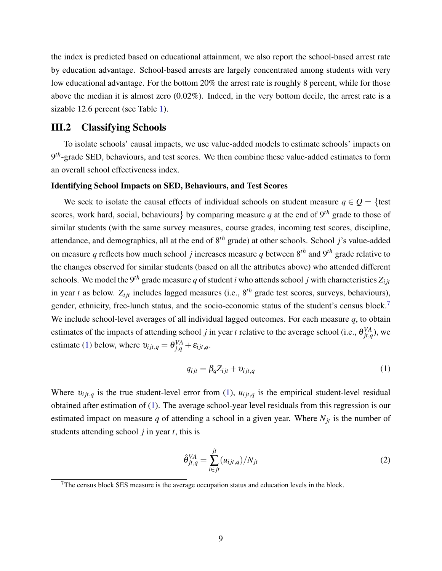the index is predicted based on educational attainment, we also report the school-based arrest rate by education advantage. School-based arrests are largely concentrated among students with very low educational advantage. For the bottom 20% the arrest rate is roughly 8 percent, while for those above the median it is almost zero (0.02%). Indeed, in the very bottom decile, the arrest rate is a sizable 12.6 percent (see Table [1\)](#page-29-0).

#### III.2 Classifying Schools

To isolate schools' causal impacts, we use value-added models to estimate schools' impacts on 9<sup>th</sup>-grade SED, behaviours, and test scores. We then combine these value-added estimates to form an overall school effectiveness index.

#### Identifying School Impacts on SED, Behaviours, and Test Scores

We seek to isolate the causal effects of individual schools on student measure  $q \in Q = \{ \text{test} \}$ scores, work hard, social, behaviours} by comparing measure *q* at the end of  $9<sup>th</sup>$  grade to those of similar students (with the same survey measures, course grades, incoming test scores, discipline, attendance, and demographics, all at the end of 8*th* grade) at other schools. School *j*'s value-added on measure *q* reflects how much school *j* increases measure *q* between 8*th* and 9*th* grade relative to the changes observed for similar students (based on all the attributes above) who attended different schools. We model the 9<sup>th</sup> grade measure *q* of student *i* who attends school *j* with characteristics  $Z_{i}$ <sub>*it*</sub></sub> in year *t* as below.  $Z_{ijt}$  includes lagged measures (i.e.,  $8^{th}$  grade test scores, surveys, behaviours), gender, ethnicity, free-lunch status, and the socio-economic status of the student's census block.<sup>[7](#page--1-0)</sup> We include school-level averages of all individual lagged outcomes. For each measure *q*, to obtain estimates of the impacts of attending school *j* in year *t* relative to the average school (i.e.,  $\theta_{jt,q}^{VA}$ ), we estimate [\(1\)](#page-10-0) below, where  $v_{ijt,q} = \theta_{j,q}^{VA} + \varepsilon_{ijt,q}$ .

<span id="page-10-0"></span>
$$
q_{ijt} = \beta_q Z_{ijt} + v_{ijt,q}
$$
 (1)

Where  $v_{ijt,q}$  is the true student-level error from [\(1\)](#page-10-0),  $u_{ijt,q}$  is the empirical student-level residual obtained after estimation of [\(1\)](#page-10-0). The average school-year level residuals from this regression is our estimated impact on measure  $q$  of attending a school in a given year. Where  $N_{jt}$  is the number of students attending school *j* in year *t*, this is

$$
\hat{\theta}_{jt,q}^{VA} = \sum_{i \in jt}^{jt} (u_{ijt,q}) / N_{jt} \tag{2}
$$

 $7$ The census block SES measure is the average occupation status and education levels in the block.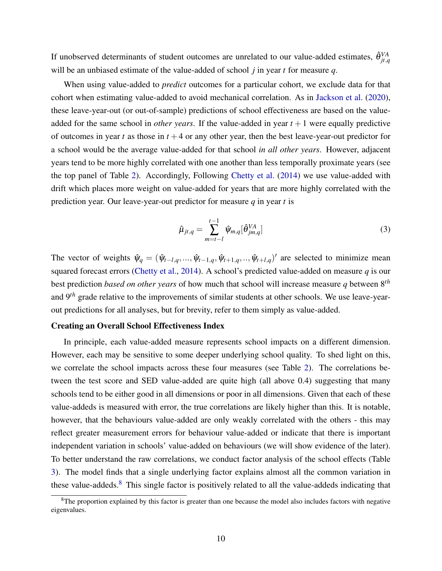If unobserved determinants of student outcomes are unrelated to our value-added estimates,  $\hat{\theta}_{jt,q}^{VA}$ will be an unbiased estimate of the value-added of school *j* in year *t* for measure *q*.

When using value-added to *predict* outcomes for a particular cohort, we exclude data for that cohort when estimating value-added to avoid mechanical correlation. As in [Jackson et al.](#page-26-3) [\(2020\)](#page-26-3), these leave-year-out (or out-of-sample) predictions of school effectiveness are based on the valueadded for the same school in *other years*. If the value-added in year  $t + 1$  were equally predictive of outcomes in year  $t$  as those in  $t + 4$  or any other year, then the best leave-year-out predictor for a school would be the average value-added for that school *in all other years*. However, adjacent years tend to be more highly correlated with one another than less temporally proximate years (see the top panel of Table [2\)](#page-30-0). Accordingly, Following [Chetty et al.](#page-25-11) [\(2014\)](#page-25-11) we use value-added with drift which places more weight on value-added for years that are more highly correlated with the prediction year. Our leave-year-out predictor for measure *q* in year *t* is

$$
\hat{\mu}_{jt,q} = \sum_{m=t-l}^{t-1} \hat{\psi}_{m,q} [\hat{\theta}_{jm,q}^{VA}] \tag{3}
$$

The vector of weights  $\hat{\psi}_q = (\hat{\psi}_{t-1,q},...,\hat{\psi}_{t-1,q},\hat{\psi}_{t+1,q},...,\hat{\psi}_{t+l,q})'$  are selected to minimize mean squared forecast errors [\(Chetty et al.,](#page-25-11) [2014\)](#page-25-11). A school's predicted value-added on measure *q* is our best prediction *based on other years* of how much that school will increase measure *q* between 8*th* and 9*th* grade relative to the improvements of similar students at other schools. We use leave-yearout predictions for all analyses, but for brevity, refer to them simply as value-added.

#### Creating an Overall School Effectiveness Index

In principle, each value-added measure represents school impacts on a different dimension. However, each may be sensitive to some deeper underlying school quality. To shed light on this, we correlate the school impacts across these four measures (see Table [2\)](#page-30-0). The correlations between the test score and SED value-added are quite high (all above 0.4) suggesting that many schools tend to be either good in all dimensions or poor in all dimensions. Given that each of these value-addeds is measured with error, the true correlations are likely higher than this. It is notable, however, that the behaviours value-added are only weakly correlated with the others - this may reflect greater measurement errors for behaviour value-added or indicate that there is important independent variation in schools' value-added on behaviours (we will show evidence of the later). To better understand the raw correlations, we conduct factor analysis of the school effects (Table [3\)](#page-31-0). The model finds that a single underlying factor explains almost all the common variation in these value-addeds.<sup>[8](#page--1-0)</sup> This single factor is positively related to all the value-addeds indicating that

 $8$ The proportion explained by this factor is greater than one because the model also includes factors with negative eigenvalues.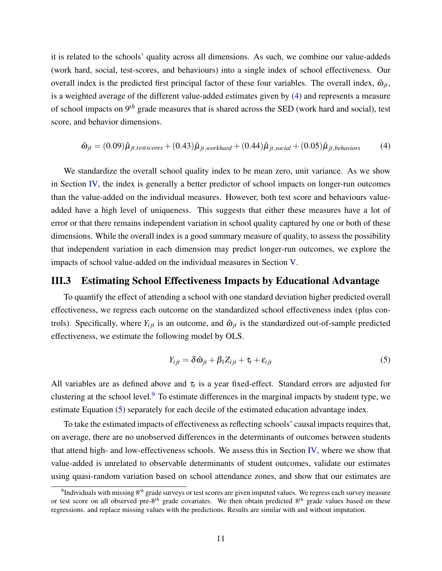it is related to the schools' quality across all dimensions. As such, we combine our value-addeds (work hard, social, test-scores, and behaviours) into a single index of school effectiveness. Our overall index is the predicted first principal factor of these four variables. The overall index,  $\hat{\omega}_{it}$ , is a weighted average of the different value-added estimates given by [\(4\)](#page-12-0) and represents a measure of school impacts on 9*th* grade measures that is shared across the SED (work hard and social), test score, and behavior dimensions.

<span id="page-12-2"></span><span id="page-12-0"></span>
$$
\hat{\omega}_{jt} = (0.09)\hat{\mu}_{jt, test scores} + (0.43)\hat{\mu}_{jt, workhard} + (0.44)\hat{\mu}_{jt, social} + (0.05)\hat{\mu}_{jt, behavior}
$$
(4)

We standardize the overall school quality index to be mean zero, unit variance. As we show in Section [IV,](#page-13-0) the index is generally a better predictor of school impacts on longer-run outcomes than the value-added on the individual measures. However, both test score and behaviours valueadded have a high level of uniqueness. This suggests that either these measures have a lot of error or that there remains independent variation in school quality captured by one or both of these dimensions. While the overall index is a good summary measure of quality, to assess the possibility that independent variation in each dimension may predict longer-run outcomes, we explore the impacts of school value-added on the individual measures in Section [V.](#page-16-0)

### III.3 Estimating School Effectiveness Impacts by Educational Advantage

To quantify the effect of attending a school with one standard deviation higher predicted overall effectiveness, we regress each outcome on the standardized school effectiveness index (plus controls). Specifically, where  $Y_{i j t}$  is an outcome, and  $\hat{\omega}_{j t}$  is the standardized out-of-sample predicted effectiveness, we estimate the following model by OLS.

<span id="page-12-1"></span>
$$
Y_{ijt} = \delta \hat{\omega}_{jt} + \beta_1 Z_{ijt} + \tau_t + \varepsilon_{ijt}
$$
\n<sup>(5)</sup>

All variables are as defined above and  $\tau_t$  is a year fixed-effect. Standard errors are adjusted for clustering at the school level.[9](#page--1-0) To estimate differences in the marginal impacts by student type, we estimate Equation [\(5\)](#page-12-1) separately for each decile of the estimated education advantage index.

To take the estimated impacts of effectiveness as reflecting schools' causal impacts requires that, on average, there are no unobserved differences in the determinants of outcomes between students that attend high- and low-effectiveness schools. We assess this in Section [IV,](#page-13-0) where we show that value-added is unrelated to observable determinants of student outcomes, validate our estimates using quasi-random variation based on school attendance zones, and show that our estimates are

<sup>9</sup> Individuals with missing 8*th* grade surveys or test scores are given imputed values. We regress each survey measure or test score on all observed pre-8*th* grade covariates. We then obtain predicted 8*th* grade values based on these regressions. and replace missing values with the predictions. Results are similar with and without imputation.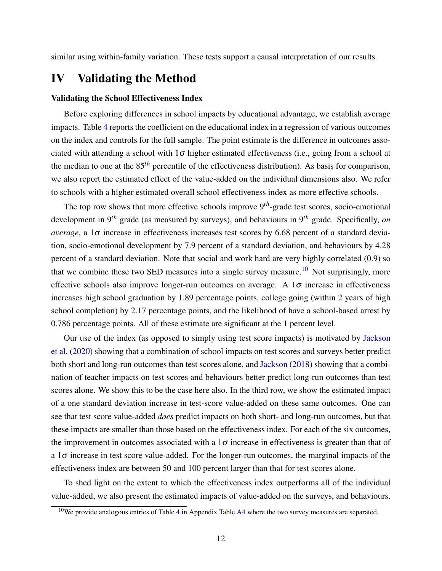<span id="page-13-0"></span>similar using within-family variation. These tests support a causal interpretation of our results.

# IV Validating the Method

#### Validating the School Effectiveness Index

Before exploring differences in school impacts by educational advantage, we establish average impacts. Table [4](#page-32-0) reports the coefficient on the educational index in a regression of various outcomes on the index and controls for the full sample. The point estimate is the difference in outcomes associated with attending a school with  $1\sigma$  higher estimated effectiveness (i.e., going from a school at the median to one at the 85*th* percentile of the effectiveness distribution). As basis for comparison, we also report the estimated effect of the value-added on the individual dimensions also. We refer to schools with a higher estimated overall school effectiveness index as more effective schools.

The top row shows that more effective schools improve 9*th*-grade test scores, socio-emotional development in 9*th* grade (as measured by surveys), and behaviours in 9*th* grade. Specifically, *on average*, a  $1\sigma$  increase in effectiveness increases test scores by 6.68 percent of a standard deviation, socio-emotional development by 7.9 percent of a standard deviation, and behaviours by 4.28 percent of a standard deviation. Note that social and work hard are very highly correlated (0.9) so that we combine these two SED measures into a single survey measure.<sup>[10](#page--1-0)</sup> Not surprisingly, more effective schools also improve longer-run outcomes on average. A  $1\sigma$  increase in effectiveness increases high school graduation by 1.89 percentage points, college going (within 2 years of high school completion) by 2.17 percentage points, and the likelihood of have a school-based arrest by 0.786 percentage points. All of these estimate are significant at the 1 percent level.

Our use of the index (as opposed to simply using test score impacts) is motivated by [Jackson](#page-26-3) [et al.](#page-26-3) [\(2020\)](#page-26-3) showing that a combination of school impacts on test scores and surveys better predict both short and long-run outcomes than test scores alone, and [Jackson](#page-26-6) [\(2018\)](#page-26-6) showing that a combination of teacher impacts on test scores and behaviours better predict long-run outcomes than test scores alone. We show this to be the case here also. In the third row, we show the estimated impact of a one standard deviation increase in test-score value-added on these same outcomes. One can see that test score value-added *does* predict impacts on both short- and long-run outcomes, but that these impacts are smaller than those based on the effectiveness index. For each of the six outcomes, the improvement in outcomes associated with a  $1\sigma$  increase in effectiveness is greater than that of a  $1\sigma$  increase in test score value-added. For the longer-run outcomes, the marginal impacts of the effectiveness index are between 50 and 100 percent larger than that for test scores alone.

To shed light on the extent to which the effectiveness index outperforms all of the individual value-added, we also present the estimated impacts of value-added on the surveys, and behaviours.

<sup>&</sup>lt;sup>10</sup>We provide analogous entries of Table [4](#page-32-0) in Appendix Table [A4](#page-42-0) where the two survey measures are separated.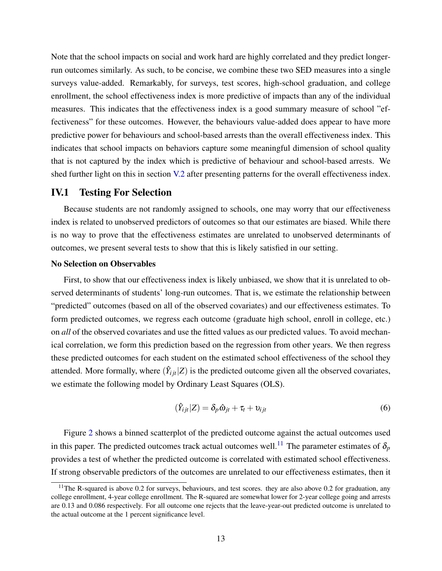Note that the school impacts on social and work hard are highly correlated and they predict longerrun outcomes similarly. As such, to be concise, we combine these two SED measures into a single surveys value-added. Remarkably, for surveys, test scores, high-school graduation, and college enrollment, the school effectiveness index is more predictive of impacts than any of the individual measures. This indicates that the effectiveness index is a good summary measure of school "effectiveness" for these outcomes. However, the behaviours value-added does appear to have more predictive power for behaviours and school-based arrests than the overall effectiveness index. This indicates that school impacts on behaviors capture some meaningful dimension of school quality that is not captured by the index which is predictive of behaviour and school-based arrests. We shed further light on this in section [V.2](#page-17-0) after presenting patterns for the overall effectiveness index.

#### IV.1 Testing For Selection

Because students are not randomly assigned to schools, one may worry that our effectiveness index is related to unobserved predictors of outcomes so that our estimates are biased. While there is no way to prove that the effectiveness estimates are unrelated to unobserved determinants of outcomes, we present several tests to show that this is likely satisfied in our setting.

#### No Selection on Observables

First, to show that our effectiveness index is likely unbiased, we show that it is unrelated to observed determinants of students' long-run outcomes. That is, we estimate the relationship between "predicted" outcomes (based on all of the observed covariates) and our effectiveness estimates. To form predicted outcomes, we regress each outcome (graduate high school, enroll in college, etc.) on *all* of the observed covariates and use the fitted values as our predicted values. To avoid mechanical correlation, we form this prediction based on the regression from other years. We then regress these predicted outcomes for each student on the estimated school effectiveness of the school they attended. More formally, where  $(\hat{Y}_{ijt}|Z)$  is the predicted outcome given all the observed covariates, we estimate the following model by Ordinary Least Squares (OLS).

$$
(\hat{Y}_{ijt}|Z) = \delta_p \hat{\omega}_{jt} + \tau_t + \upsilon_{ijt}
$$
\n<sup>(6)</sup>

Figure [2](#page-33-0) shows a binned scatterplot of the predicted outcome against the actual outcomes used in this paper. The predicted outcomes track actual outcomes well.<sup>[11](#page--1-0)</sup> The parameter estimates of  $\delta_p$ provides a test of whether the predicted outcome is correlated with estimated school effectiveness. If strong observable predictors of the outcomes are unrelated to our effectiveness estimates, then it

<sup>&</sup>lt;sup>11</sup>The R-squared is above 0.2 for surveys, behaviours, and test scores. they are also above 0.2 for graduation, any college enrollment, 4-year college enrollment. The R-squared are somewhat lower for 2-year college going and arrests are 0.13 and 0.086 respectively. For all outcome one rejects that the leave-year-out predicted outcome is unrelated to the actual outcome at the 1 percent significance level.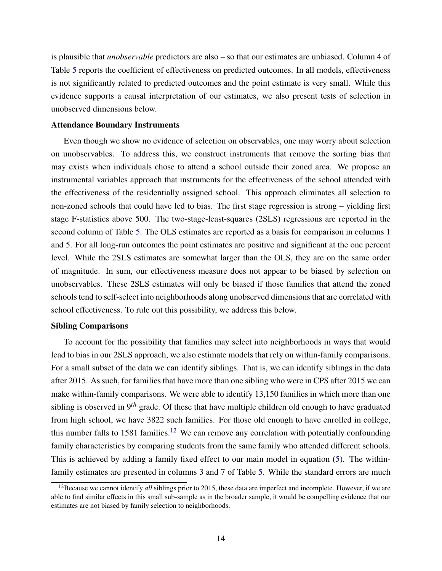is plausible that *unobservable* predictors are also – so that our estimates are unbiased. Column 4 of Table [5](#page-33-0) reports the coefficient of effectiveness on predicted outcomes. In all models, effectiveness is not significantly related to predicted outcomes and the point estimate is very small. While this evidence supports a causal interpretation of our estimates, we also present tests of selection in unobserved dimensions below.

#### Attendance Boundary Instruments

Even though we show no evidence of selection on observables, one may worry about selection on unobservables. To address this, we construct instruments that remove the sorting bias that may exists when individuals chose to attend a school outside their zoned area. We propose an instrumental variables approach that instruments for the effectiveness of the school attended with the effectiveness of the residentially assigned school. This approach eliminates all selection to non-zoned schools that could have led to bias. The first stage regression is strong – yielding first stage F-statistics above 500. The two-stage-least-squares (2SLS) regressions are reported in the second column of Table [5.](#page-33-0) The OLS estimates are reported as a basis for comparison in columns 1 and 5. For all long-run outcomes the point estimates are positive and significant at the one percent level. While the 2SLS estimates are somewhat larger than the OLS, they are on the same order of magnitude. In sum, our effectiveness measure does not appear to be biased by selection on unobservables. These 2SLS estimates will only be biased if those families that attend the zoned schools tend to self-select into neighborhoods along unobserved dimensions that are correlated with school effectiveness. To rule out this possibility, we address this below.

#### Sibling Comparisons

To account for the possibility that families may select into neighborhoods in ways that would lead to bias in our 2SLS approach, we also estimate models that rely on within-family comparisons. For a small subset of the data we can identify siblings. That is, we can identify siblings in the data after 2015. As such, for families that have more than one sibling who were in CPS after 2015 we can make within-family comparisons. We were able to identify 13,150 families in which more than one sibling is observed in 9*th* grade. Of these that have multiple children old enough to have graduated from high school, we have 3822 such families. For those old enough to have enrolled in college, this number falls to 1581 families.<sup>[12](#page--1-0)</sup> We can remove any correlation with potentially confounding family characteristics by comparing students from the same family who attended different schools. This is achieved by adding a family fixed effect to our main model in equation [\(5\)](#page-12-1). The withinfamily estimates are presented in columns 3 and 7 of Table [5.](#page-33-0) While the standard errors are much

<sup>&</sup>lt;sup>12</sup>Because we cannot identify *all* siblings prior to 2015, these data are imperfect and incomplete. However, if we are able to find similar effects in this small sub-sample as in the broader sample, it would be compelling evidence that our estimates are not biased by family selection to neighborhoods.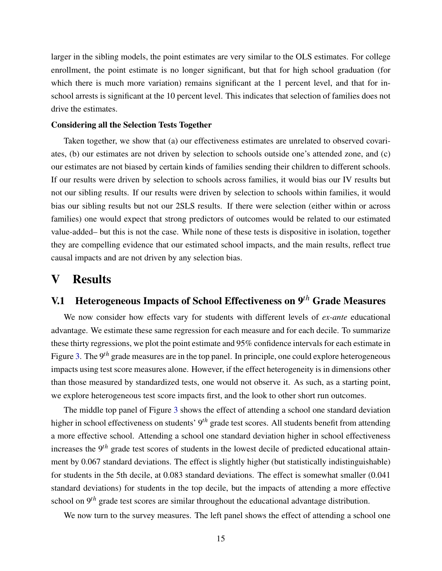larger in the sibling models, the point estimates are very similar to the OLS estimates. For college enrollment, the point estimate is no longer significant, but that for high school graduation (for which there is much more variation) remains significant at the 1 percent level, and that for inschool arrests is significant at the 10 percent level. This indicates that selection of families does not drive the estimates.

### Considering all the Selection Tests Together

Taken together, we show that (a) our effectiveness estimates are unrelated to observed covariates, (b) our estimates are not driven by selection to schools outside one's attended zone, and (c) our estimates are not biased by certain kinds of families sending their children to different schools. If our results were driven by selection to schools across families, it would bias our IV results but not our sibling results. If our results were driven by selection to schools within families, it would bias our sibling results but not our 2SLS results. If there were selection (either within or across families) one would expect that strong predictors of outcomes would be related to our estimated value-added– but this is not the case. While none of these tests is dispositive in isolation, together they are compelling evidence that our estimated school impacts, and the main results, reflect true causal impacts and are not driven by any selection bias.

# <span id="page-16-0"></span>V Results

## V.1 Heterogeneous Impacts of School Effectiveness on 9*th* Grade Measures

We now consider how effects vary for students with different levels of *ex-ante* educational advantage. We estimate these same regression for each measure and for each decile. To summarize these thirty regressions, we plot the point estimate and 95% confidence intervals for each estimate in Figure [3.](#page-33-0) The 9*th* grade measures are in the top panel. In principle, one could explore heterogeneous impacts using test score measures alone. However, if the effect heterogeneity is in dimensions other than those measured by standardized tests, one would not observe it. As such, as a starting point, we explore heterogeneous test score impacts first, and the look to other short run outcomes.

The middle top panel of Figure [3](#page-33-0) shows the effect of attending a school one standard deviation higher in school effectiveness on students' 9*th* grade test scores. All students benefit from attending a more effective school. Attending a school one standard deviation higher in school effectiveness increases the 9*th* grade test scores of students in the lowest decile of predicted educational attainment by 0.067 standard deviations. The effect is slightly higher (but statistically indistinguishable) for students in the 5th decile, at 0.083 standard deviations. The effect is somewhat smaller (0.041 standard deviations) for students in the top decile, but the impacts of attending a more effective school on 9*th* grade test scores are similar throughout the educational advantage distribution.

We now turn to the survey measures. The left panel shows the effect of attending a school one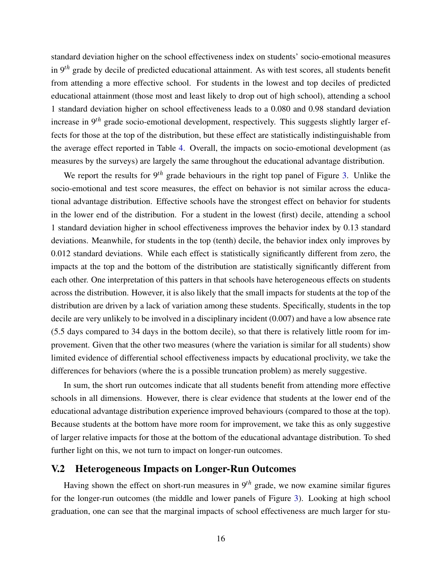standard deviation higher on the school effectiveness index on students' socio-emotional measures in 9*th* grade by decile of predicted educational attainment. As with test scores, all students benefit from attending a more effective school. For students in the lowest and top deciles of predicted educational attainment (those most and least likely to drop out of high school), attending a school 1 standard deviation higher on school effectiveness leads to a 0.080 and 0.98 standard deviation increase in 9*th* grade socio-emotional development, respectively. This suggests slightly larger effects for those at the top of the distribution, but these effect are statistically indistinguishable from the average effect reported in Table [4.](#page-32-0) Overall, the impacts on socio-emotional development (as measures by the surveys) are largely the same throughout the educational advantage distribution.

We report the results for 9<sup>th</sup> grade behaviours in the right top panel of Figure [3.](#page-33-0) Unlike the socio-emotional and test score measures, the effect on behavior is not similar across the educational advantage distribution. Effective schools have the strongest effect on behavior for students in the lower end of the distribution. For a student in the lowest (first) decile, attending a school 1 standard deviation higher in school effectiveness improves the behavior index by 0.13 standard deviations. Meanwhile, for students in the top (tenth) decile, the behavior index only improves by 0.012 standard deviations. While each effect is statistically significantly different from zero, the impacts at the top and the bottom of the distribution are statistically significantly different from each other. One interpretation of this patters in that schools have heterogeneous effects on students across the distribution. However, it is also likely that the small impacts for students at the top of the distribution are driven by a lack of variation among these students. Specifically, students in the top decile are very unlikely to be involved in a disciplinary incident (0.007) and have a low absence rate (5.5 days compared to 34 days in the bottom decile), so that there is relatively little room for improvement. Given that the other two measures (where the variation is similar for all students) show limited evidence of differential school effectiveness impacts by educational proclivity, we take the differences for behaviors (where the is a possible truncation problem) as merely suggestive.

In sum, the short run outcomes indicate that all students benefit from attending more effective schools in all dimensions. However, there is clear evidence that students at the lower end of the educational advantage distribution experience improved behaviours (compared to those at the top). Because students at the bottom have more room for improvement, we take this as only suggestive of larger relative impacts for those at the bottom of the educational advantage distribution. To shed further light on this, we not turn to impact on longer-run outcomes.

### <span id="page-17-0"></span>V.2 Heterogeneous Impacts on Longer-Run Outcomes

Having shown the effect on short-run measures in 9*th* grade, we now examine similar figures for the longer-run outcomes (the middle and lower panels of Figure [3\)](#page-33-0). Looking at high school graduation, one can see that the marginal impacts of school effectiveness are much larger for stu-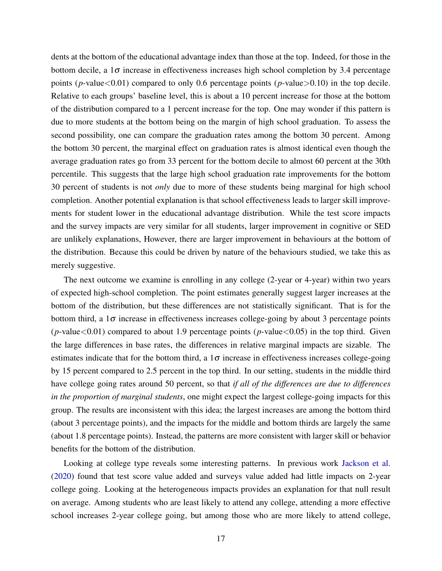dents at the bottom of the educational advantage index than those at the top. Indeed, for those in the bottom decile, a  $1\sigma$  increase in effectiveness increases high school completion by 3.4 percentage points ( $p$ -value<0.01) compared to only 0.6 percentage points ( $p$ -value>0.10) in the top decile. Relative to each groups' baseline level, this is about a 10 percent increase for those at the bottom of the distribution compared to a 1 percent increase for the top. One may wonder if this pattern is due to more students at the bottom being on the margin of high school graduation. To assess the second possibility, one can compare the graduation rates among the bottom 30 percent. Among the bottom 30 percent, the marginal effect on graduation rates is almost identical even though the average graduation rates go from 33 percent for the bottom decile to almost 60 percent at the 30th percentile. This suggests that the large high school graduation rate improvements for the bottom 30 percent of students is not *only* due to more of these students being marginal for high school completion. Another potential explanation is that school effectiveness leads to larger skill improvements for student lower in the educational advantage distribution. While the test score impacts and the survey impacts are very similar for all students, larger improvement in cognitive or SED are unlikely explanations, However, there are larger improvement in behaviours at the bottom of the distribution. Because this could be driven by nature of the behaviours studied, we take this as merely suggestive.

The next outcome we examine is enrolling in any college (2-year or 4-year) within two years of expected high-school completion. The point estimates generally suggest larger increases at the bottom of the distribution, but these differences are not statistically significant. That is for the bottom third, a  $1\sigma$  increase in effectiveness increases college-going by about 3 percentage points ( $p$ -value<0.01) compared to about 1.9 percentage points ( $p$ -value <0.05) in the top third. Given the large differences in base rates, the differences in relative marginal impacts are sizable. The estimates indicate that for the bottom third, a  $1\sigma$  increase in effectiveness increases college-going by 15 percent compared to 2.5 percent in the top third. In our setting, students in the middle third have college going rates around 50 percent, so that *if all of the differences are due to differences in the proportion of marginal students*, one might expect the largest college-going impacts for this group. The results are inconsistent with this idea; the largest increases are among the bottom third (about 3 percentage points), and the impacts for the middle and bottom thirds are largely the same (about 1.8 percentage points). Instead, the patterns are more consistent with larger skill or behavior benefits for the bottom of the distribution.

Looking at college type reveals some interesting patterns. In previous work [Jackson et al.](#page-26-3) [\(2020\)](#page-26-3) found that test score value added and surveys value added had little impacts on 2-year college going. Looking at the heterogeneous impacts provides an explanation for that null result on average. Among students who are least likely to attend any college, attending a more effective school increases 2-year college going, but among those who are more likely to attend college,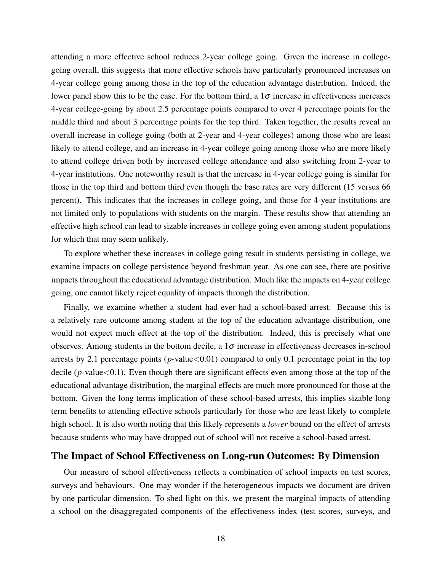attending a more effective school reduces 2-year college going. Given the increase in collegegoing overall, this suggests that more effective schools have particularly pronounced increases on 4-year college going among those in the top of the education advantage distribution. Indeed, the lower panel show this to be the case. For the bottom third, a  $1\sigma$  increase in effectiveness increases 4-year college-going by about 2.5 percentage points compared to over 4 percentage points for the middle third and about 3 percentage points for the top third. Taken together, the results reveal an overall increase in college going (both at 2-year and 4-year colleges) among those who are least likely to attend college, and an increase in 4-year college going among those who are more likely to attend college driven both by increased college attendance and also switching from 2-year to 4-year institutions. One noteworthy result is that the increase in 4-year college going is similar for those in the top third and bottom third even though the base rates are very different (15 versus 66 percent). This indicates that the increases in college going, and those for 4-year institutions are not limited only to populations with students on the margin. These results show that attending an effective high school can lead to sizable increases in college going even among student populations for which that may seem unlikely.

To explore whether these increases in college going result in students persisting in college, we examine impacts on college persistence beyond freshman year. As one can see, there are positive impacts throughout the educational advantage distribution. Much like the impacts on 4-year college going, one cannot likely reject equality of impacts through the distribution.

Finally, we examine whether a student had ever had a school-based arrest. Because this is a relatively rare outcome among student at the top of the education advantage distribution, one would not expect much effect at the top of the distribution. Indeed, this is precisely what one observes. Among students in the bottom decile, a  $1\sigma$  increase in effectiveness decreases in-school arrests by 2.1 percentage points ( $p$ -value $\lt 0.01$ ) compared to only 0.1 percentage point in the top decile (*p*-value<0.1). Even though there are significant effects even among those at the top of the educational advantage distribution, the marginal effects are much more pronounced for those at the bottom. Given the long terms implication of these school-based arrests, this implies sizable long term benefits to attending effective schools particularly for those who are least likely to complete high school. It is also worth noting that this likely represents a *lower* bound on the effect of arrests because students who may have dropped out of school will not receive a school-based arrest.

### The Impact of School Effectiveness on Long-run Outcomes: By Dimension

Our measure of school effectiveness reflects a combination of school impacts on test scores, surveys and behaviours. One may wonder if the heterogeneous impacts we document are driven by one particular dimension. To shed light on this, we present the marginal impacts of attending a school on the disaggregated components of the effectiveness index (test scores, surveys, and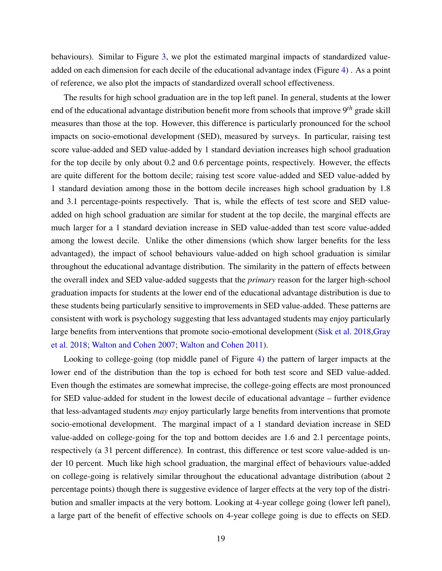behaviours). Similar to Figure [3,](#page-33-0) we plot the estimated marginal impacts of standardized valueadded on each dimension for each decile of the educational advantage index (Figure [4\)](#page-33-0) . As a point of reference, we also plot the impacts of standardized overall school effectiveness.

The results for high school graduation are in the top left panel. In general, students at the lower end of the educational advantage distribution benefit more from schools that improve 9*th* grade skill measures than those at the top. However, this difference is particularly pronounced for the school impacts on socio-emotional development (SED), measured by surveys. In particular, raising test score value-added and SED value-added by 1 standard deviation increases high school graduation for the top decile by only about 0.2 and 0.6 percentage points, respectively. However, the effects are quite different for the bottom decile; raising test score value-added and SED value-added by 1 standard deviation among those in the bottom decile increases high school graduation by 1.8 and 3.1 percentage-points respectively. That is, while the effects of test score and SED valueadded on high school graduation are similar for student at the top decile, the marginal effects are much larger for a 1 standard deviation increase in SED value-added than test score value-added among the lowest decile. Unlike the other dimensions (which show larger benefits for the less advantaged), the impact of school behaviours value-added on high school graduation is similar throughout the educational advantage distribution. The similarity in the pattern of effects between the overall index and SED value-added suggests that the *primary* reason for the larger high-school graduation impacts for students at the lower end of the educational advantage distribution is due to these students being particularly sensitive to improvements in SED value-added. These patterns are consistent with work is psychology suggesting that less advantaged students may enjoy particularly large benefits from interventions that promote socio-emotional development [\(Sisk et al. 2018](#page-27-6)[,Gray](#page-26-9) [et al. 2018;](#page-26-9) [Walton and Cohen 2007;](#page-27-7) [Walton and Cohen 2011\)](#page-28-0).

Looking to college-going (top middle panel of Figure [4\)](#page-33-0) the pattern of larger impacts at the lower end of the distribution than the top is echoed for both test score and SED value-added. Even though the estimates are somewhat imprecise, the college-going effects are most pronounced for SED value-added for student in the lowest decile of educational advantage – further evidence that less-advantaged students *may* enjoy particularly large benefits from interventions that promote socio-emotional development. The marginal impact of a 1 standard deviation increase in SED value-added on college-going for the top and bottom decides are 1.6 and 2.1 percentage points, respectively (a 31 percent difference). In contrast, this difference or test score value-added is under 10 percent. Much like high school graduation, the marginal effect of behaviours value-added on college-going is relatively similar throughout the educational advantage distribution (about 2 percentage points) though there is suggestive evidence of larger effects at the very top of the distribution and smaller impacts at the very bottom. Looking at 4-year college going (lower left panel), a large part of the benefit of effective schools on 4-year college going is due to effects on SED.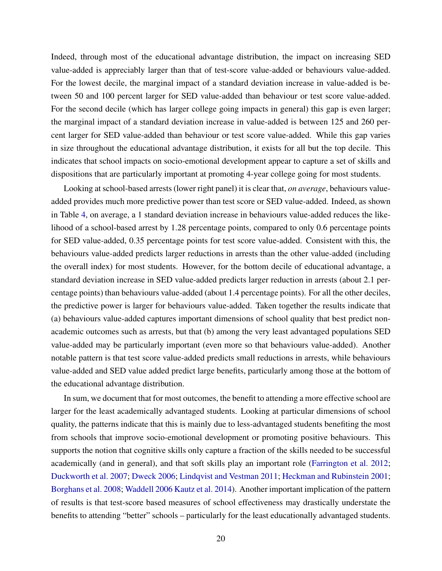Indeed, through most of the educational advantage distribution, the impact on increasing SED value-added is appreciably larger than that of test-score value-added or behaviours value-added. For the lowest decile, the marginal impact of a standard deviation increase in value-added is between 50 and 100 percent larger for SED value-added than behaviour or test score value-added. For the second decile (which has larger college going impacts in general) this gap is even larger; the marginal impact of a standard deviation increase in value-added is between 125 and 260 percent larger for SED value-added than behaviour or test score value-added. While this gap varies in size throughout the educational advantage distribution, it exists for all but the top decile. This indicates that school impacts on socio-emotional development appear to capture a set of skills and dispositions that are particularly important at promoting 4-year college going for most students.

Looking at school-based arrests (lower right panel) it is clear that, *on average*, behaviours valueadded provides much more predictive power than test score or SED value-added. Indeed, as shown in Table [4,](#page-32-0) on average, a 1 standard deviation increase in behaviours value-added reduces the likelihood of a school-based arrest by 1.28 percentage points, compared to only 0.6 percentage points for SED value-added, 0.35 percentage points for test score value-added. Consistent with this, the behaviours value-added predicts larger reductions in arrests than the other value-added (including the overall index) for most students. However, for the bottom decile of educational advantage, a standard deviation increase in SED value-added predicts larger reduction in arrests (about 2.1 percentage points) than behaviours value-added (about 1.4 percentage points). For all the other deciles, the predictive power is larger for behaviours value-added. Taken together the results indicate that (a) behaviours value-added captures important dimensions of school quality that best predict nonacademic outcomes such as arrests, but that (b) among the very least advantaged populations SED value-added may be particularly important (even more so that behaviours value-added). Another notable pattern is that test score value-added predicts small reductions in arrests, while behaviours value-added and SED value added predict large benefits, particularly among those at the bottom of the educational advantage distribution.

In sum, we document that for most outcomes, the benefit to attending a more effective school are larger for the least academically advantaged students. Looking at particular dimensions of school quality, the patterns indicate that this is mainly due to less-advantaged students benefiting the most from schools that improve socio-emotional development or promoting positive behaviours. This supports the notion that cognitive skills only capture a fraction of the skills needed to be successful academically (and in general), and that soft skills play an important role [\(Farrington et al. 2012;](#page-26-10) [Duckworth et al. 2007;](#page-26-11) [Dweck 2006;](#page-26-12) [Lindqvist and Vestman 2011;](#page-27-12) [Heckman and Rubinstein 2001;](#page-26-13) [Borghans et al. 2008;](#page-25-12) [Waddell 2006](#page-27-13) [Kautz et al. 2014\)](#page-27-14). Another important implication of the pattern of results is that test-score based measures of school effectiveness may drastically understate the benefits to attending "better" schools – particularly for the least educationally advantaged students.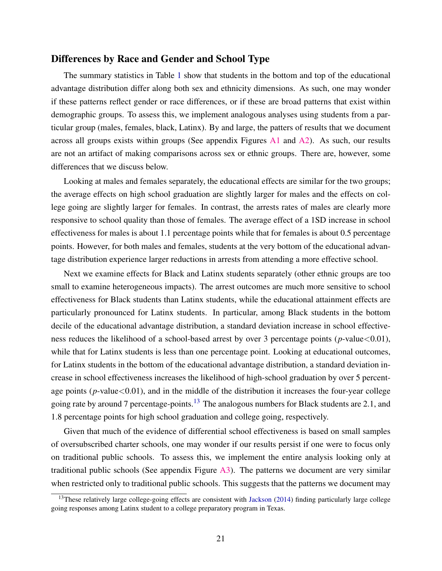### Differences by Race and Gender and School Type

The summary statistics in Table [1](#page-29-0) show that students in the bottom and top of the educational advantage distribution differ along both sex and ethnicity dimensions. As such, one may wonder if these patterns reflect gender or race differences, or if these are broad patterns that exist within demographic groups. To assess this, we implement analogous analyses using students from a particular group (males, females, black, Latinx). By and large, the patters of results that we document across all groups exists within groups (See appendix Figures  $\overline{A1}$  $\overline{A1}$  $\overline{A1}$  and  $\overline{A2}$ ). As such, our results are not an artifact of making comparisons across sex or ethnic groups. There are, however, some differences that we discuss below.

Looking at males and females separately, the educational effects are similar for the two groups; the average effects on high school graduation are slightly larger for males and the effects on college going are slightly larger for females. In contrast, the arrests rates of males are clearly more responsive to school quality than those of females. The average effect of a 1SD increase in school effectiveness for males is about 1.1 percentage points while that for females is about 0.5 percentage points. However, for both males and females, students at the very bottom of the educational advantage distribution experience larger reductions in arrests from attending a more effective school.

Next we examine effects for Black and Latinx students separately (other ethnic groups are too small to examine heterogeneous impacts). The arrest outcomes are much more sensitive to school effectiveness for Black students than Latinx students, while the educational attainment effects are particularly pronounced for Latinx students. In particular, among Black students in the bottom decile of the educational advantage distribution, a standard deviation increase in school effectiveness reduces the likelihood of a school-based arrest by over 3 percentage points (*p*-value<0.01), while that for Latinx students is less than one percentage point. Looking at educational outcomes, for Latinx students in the bottom of the educational advantage distribution, a standard deviation increase in school effectiveness increases the likelihood of high-school graduation by over 5 percentage points  $(p$ -value $< 0.01$ ), and in the middle of the distribution it increases the four-year college going rate by around 7 percentage-points.<sup>[13](#page--1-0)</sup> The analogous numbers for Black students are 2.1, and 1.8 percentage points for high school graduation and college going, respectively.

Given that much of the evidence of differential school effectiveness is based on small samples of oversubscribed charter schools, one may wonder if our results persist if one were to focus only on traditional public schools. To assess this, we implement the entire analysis looking only at traditional public schools (See appendix Figure  $\overline{A}3$ ). The patterns we document are very similar when restricted only to traditional public schools. This suggests that the patterns we document may

 $13$ These relatively large college-going effects are consistent with [Jackson](#page-26-14) [\(2014\)](#page-26-14) finding particularly large college going responses among Latinx student to a college preparatory program in Texas.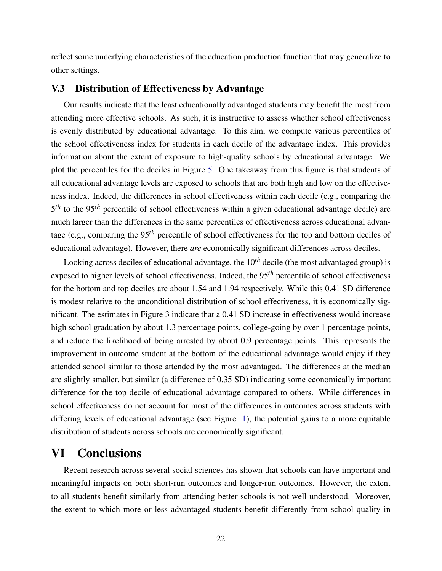reflect some underlying characteristics of the education production function that may generalize to other settings.

### V.3 Distribution of Effectiveness by Advantage

Our results indicate that the least educationally advantaged students may benefit the most from attending more effective schools. As such, it is instructive to assess whether school effectiveness is evenly distributed by educational advantage. To this aim, we compute various percentiles of the school effectiveness index for students in each decile of the advantage index. This provides information about the extent of exposure to high-quality schools by educational advantage. We plot the percentiles for the deciles in Figure [5.](#page-33-0) One takeaway from this figure is that students of all educational advantage levels are exposed to schools that are both high and low on the effectiveness index. Indeed, the differences in school effectiveness within each decile (e.g., comparing the 5 *th* to the 95*th* percentile of school effectiveness within a given educational advantage decile) are much larger than the differences in the same percentiles of effectiveness across educational advantage (e.g., comparing the 95*th* percentile of school effectiveness for the top and bottom deciles of educational advantage). However, there *are* economically significant differences across deciles.

Looking across deciles of educational advantage, the 10*th* decile (the most advantaged group) is exposed to higher levels of school effectiveness. Indeed, the 95*th* percentile of school effectiveness for the bottom and top deciles are about 1.54 and 1.94 respectively. While this 0.41 SD difference is modest relative to the unconditional distribution of school effectiveness, it is economically significant. The estimates in Figure 3 indicate that a 0.41 SD increase in effectiveness would increase high school graduation by about 1.3 percentage points, college-going by over 1 percentage points, and reduce the likelihood of being arrested by about 0.9 percentage points. This represents the improvement in outcome student at the bottom of the educational advantage would enjoy if they attended school similar to those attended by the most advantaged. The differences at the median are slightly smaller, but similar (a difference of 0.35 SD) indicating some economically important difference for the top decile of educational advantage compared to others. While differences in school effectiveness do not account for most of the differences in outcomes across students with differing levels of educational advantage (see Figure [1\)](#page-33-0), the potential gains to a more equitable distribution of students across schools are economically significant.

# <span id="page-23-0"></span>VI Conclusions

Recent research across several social sciences has shown that schools can have important and meaningful impacts on both short-run outcomes and longer-run outcomes. However, the extent to all students benefit similarly from attending better schools is not well understood. Moreover, the extent to which more or less advantaged students benefit differently from school quality in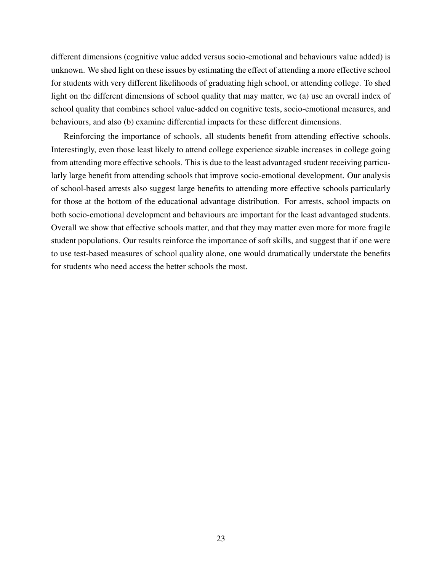different dimensions (cognitive value added versus socio-emotional and behaviours value added) is unknown. We shed light on these issues by estimating the effect of attending a more effective school for students with very different likelihoods of graduating high school, or attending college. To shed light on the different dimensions of school quality that may matter, we (a) use an overall index of school quality that combines school value-added on cognitive tests, socio-emotional measures, and behaviours, and also (b) examine differential impacts for these different dimensions.

Reinforcing the importance of schools, all students benefit from attending effective schools. Interestingly, even those least likely to attend college experience sizable increases in college going from attending more effective schools. This is due to the least advantaged student receiving particularly large benefit from attending schools that improve socio-emotional development. Our analysis of school-based arrests also suggest large benefits to attending more effective schools particularly for those at the bottom of the educational advantage distribution. For arrests, school impacts on both socio-emotional development and behaviours are important for the least advantaged students. Overall we show that effective schools matter, and that they may matter even more for more fragile student populations. Our results reinforce the importance of soft skills, and suggest that if one were to use test-based measures of school quality alone, one would dramatically understate the benefits for students who need access the better schools the most.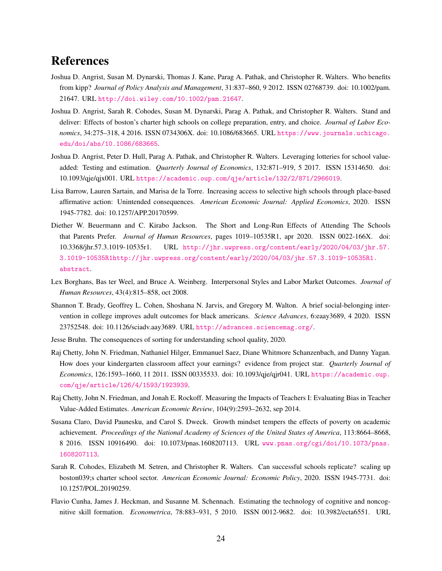# References

- <span id="page-25-4"></span>Joshua D. Angrist, Susan M. Dynarski, Thomas J. Kane, Parag A. Pathak, and Christopher R. Walters. Who benefits from kipp? *Journal of Policy Analysis and Management*, 31:837–860, 9 2012. ISSN 02768739. doi: 10.1002/pam. 21647. URL <http://doi.wiley.com/10.1002/pam.21647>.
- <span id="page-25-0"></span>Joshua D. Angrist, Sarah R. Cohodes, Susan M. Dynarski, Parag A. Pathak, and Christopher R. Walters. Stand and deliver: Effects of boston's charter high schools on college preparation, entry, and choice. *Journal of Labor Economics*, 34:275–318, 4 2016. ISSN 0734306X. doi: 10.1086/683665. URL [https://www.journals.uchicago.](https://www.journals.uchicago.edu/doi/abs/10.1086/683665) [edu/doi/abs/10.1086/683665](https://www.journals.uchicago.edu/doi/abs/10.1086/683665).
- <span id="page-25-10"></span>Joshua D. Angrist, Peter D. Hull, Parag A. Pathak, and Christopher R. Walters. Leveraging lotteries for school valueadded: Testing and estimation. *Quarterly Journal of Economics*, 132:871–919, 5 2017. ISSN 15314650. doi: 10.1093/qje/qjx001. URL <https://academic.oup.com/qje/article/132/2/871/2966019>.
- <span id="page-25-6"></span>Lisa Barrow, Lauren Sartain, and Marisa de la Torre. Increasing access to selective high schools through place-based affirmative action: Unintended consequences. *American Economic Journal: Applied Economics*, 2020. ISSN 1945-7782. doi: 10.1257/APP.20170599.
- <span id="page-25-1"></span>Diether W. Beuermann and C. Kirabo Jackson. The Short and Long-Run Effects of Attending The Schools that Parents Prefer. *Journal of Human Resources*, pages 1019–10535R1, apr 2020. ISSN 0022-166X. doi: 10.3368/jhr.57.3.1019-10535r1. URL [http://jhr.uwpress.org/content/early/2020/04/03/jhr.57.](http://jhr.uwpress.org/content/early/2020/04/03/jhr.57.3.1019-10535R1 http://jhr.uwpress.org/content/early/2020/04/03/jhr.57.3.1019-10535R1.abstract) [3.1019-10535R1http://jhr.uwpress.org/content/early/2020/04/03/jhr.57.3.1019-10535R1.](http://jhr.uwpress.org/content/early/2020/04/03/jhr.57.3.1019-10535R1 http://jhr.uwpress.org/content/early/2020/04/03/jhr.57.3.1019-10535R1.abstract) [abstract](http://jhr.uwpress.org/content/early/2020/04/03/jhr.57.3.1019-10535R1 http://jhr.uwpress.org/content/early/2020/04/03/jhr.57.3.1019-10535R1.abstract).
- <span id="page-25-12"></span>Lex Borghans, Bas ter Weel, and Bruce A. Weinberg. Interpersonal Styles and Labor Market Outcomes. *Journal of Human Resources*, 43(4):815–858, oct 2008.
- <span id="page-25-9"></span>Shannon T. Brady, Geoffrey L. Cohen, Shoshana N. Jarvis, and Gregory M. Walton. A brief social-belonging intervention in college improves adult outcomes for black americans. *Science Advances*, 6:eaay3689, 4 2020. ISSN 23752548. doi: 10.1126/sciadv.aay3689. URL <http://advances.sciencemag.org/>.
- <span id="page-25-7"></span>Jesse Bruhn. The consequences of sorting for understanding school quality, 2020.
- <span id="page-25-3"></span>Raj Chetty, John N. Friedman, Nathaniel Hilger, Emmanuel Saez, Diane Whitmore Schanzenbach, and Danny Yagan. How does your kindergarten classroom affect your earnings? evidence from project star. *Quarterly Journal of Economics*, 126:1593–1660, 11 2011. ISSN 00335533. doi: 10.1093/qje/qjr041. URL [https://academic.oup.](https://academic.oup.com/qje/article/126/4/1593/1923939) [com/qje/article/126/4/1593/1923939](https://academic.oup.com/qje/article/126/4/1593/1923939).
- <span id="page-25-11"></span>Raj Chetty, John N. Friedman, and Jonah E. Rockoff. Measuring the Impacts of Teachers I: Evaluating Bias in Teacher Value-Added Estimates. *American Economic Review*, 104(9):2593–2632, sep 2014.
- <span id="page-25-8"></span>Susana Claro, David Paunesku, and Carol S. Dweck. Growth mindset tempers the effects of poverty on academic achievement. *Proceedings of the National Academy of Sciences of the United States of America*, 113:8664–8668, 8 2016. ISSN 10916490. doi: 10.1073/pnas.1608207113. URL [www.pnas.org/cgi/doi/10.1073/pnas.](www.pnas.org/cgi/doi/10.1073/pnas.1608207113) [1608207113](www.pnas.org/cgi/doi/10.1073/pnas.1608207113).
- <span id="page-25-5"></span>Sarah R. Cohodes, Elizabeth M. Setren, and Christopher R. Walters. Can successful schools replicate? scaling up boston039;s charter school sector. *American Economic Journal: Economic Policy*, 2020. ISSN 1945-7731. doi: 10.1257/POL.20190259.
- <span id="page-25-2"></span>Flavio Cunha, James J. Heckman, and Susanne M. Schennach. Estimating the technology of cognitive and noncognitive skill formation. *Econometrica*, 78:883–931, 5 2010. ISSN 0012-9682. doi: 10.3982/ecta6551. URL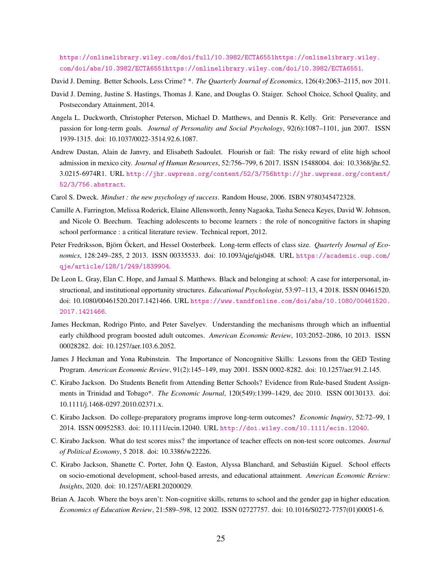[https://onlinelibrary.wiley.com/doi/full/10.3982/ECTA6551https://onlinelibrary.wiley.](https://onlinelibrary.wiley.com/doi/full/10.3982/ECTA6551 https://onlinelibrary.wiley.com/doi/abs/10.3982/ECTA6551 https://onlinelibrary.wiley.com/doi/10.3982/ECTA6551) [com/doi/abs/10.3982/ECTA6551https://onlinelibrary.wiley.com/doi/10.3982/ECTA6551](https://onlinelibrary.wiley.com/doi/full/10.3982/ECTA6551 https://onlinelibrary.wiley.com/doi/abs/10.3982/ECTA6551 https://onlinelibrary.wiley.com/doi/10.3982/ECTA6551).

<span id="page-26-2"></span>David J. Deming. Better Schools, Less Crime? \*. *The Quarterly Journal of Economics*, 126(4):2063–2115, nov 2011.

- <span id="page-26-1"></span>David J. Deming, Justine S. Hastings, Thomas J. Kane, and Douglas O. Staiger. School Choice, School Quality, and Postsecondary Attainment, 2014.
- <span id="page-26-11"></span>Angela L. Duckworth, Christopher Peterson, Michael D. Matthews, and Dennis R. Kelly. Grit: Perseverance and passion for long-term goals. *Journal of Personality and Social Psychology*, 92(6):1087–1101, jun 2007. ISSN 1939-1315. doi: 10.1037/0022-3514.92.6.1087.
- <span id="page-26-7"></span>Andrew Dustan, Alain de Janvry, and Elisabeth Sadoulet. Flourish or fail: The risky reward of elite high school admission in mexico city. *Journal of Human Resources*, 52:756–799, 6 2017. ISSN 15488004. doi: 10.3368/jhr.52. 3.0215-6974R1. URL [http://jhr.uwpress.org/content/52/3/756http://jhr.uwpress.org/content/](http://jhr.uwpress.org/content/52/3/756 http://jhr.uwpress.org/content/52/3/756.abstract) [52/3/756.abstract](http://jhr.uwpress.org/content/52/3/756 http://jhr.uwpress.org/content/52/3/756.abstract).
- <span id="page-26-12"></span>Carol S. Dweck. *Mindset : the new psychology of success*. Random House, 2006. ISBN 9780345472328.
- <span id="page-26-10"></span>Camille A. Farrington, Melissa Roderick, Elaine Allensworth, Jenny Nagaoka, Tasha Seneca Keyes, David W. Johnson, and Nicole O. Beechum. Teaching adolescents to become learners : the role of noncognitive factors in shaping school performance : a critical literature review. Technical report, 2012.
- <span id="page-26-5"></span>Peter Fredriksson, Björn Öckert, and Hessel Oosterbeek. Long-term effects of class size. *Quarterly Journal of Economics*, 128:249–285, 2 2013. ISSN 00335533. doi: 10.1093/qje/qjs048. URL [https://academic.oup.com/](https://academic.oup.com/qje/article/128/1/249/1839904) [qje/article/128/1/249/1839904](https://academic.oup.com/qje/article/128/1/249/1839904).
- <span id="page-26-9"></span>De Leon L. Gray, Elan C. Hope, and Jamaal S. Matthews. Black and belonging at school: A case for interpersonal, instructional, and institutional opportunity structures. *Educational Psychologist*, 53:97–113, 4 2018. ISSN 00461520. doi: 10.1080/00461520.2017.1421466. URL [https://www.tandfonline.com/doi/abs/10.1080/00461520.](https://www.tandfonline.com/doi/abs/10.1080/00461520.2017.1421466) [2017.1421466](https://www.tandfonline.com/doi/abs/10.1080/00461520.2017.1421466).
- <span id="page-26-4"></span>James Heckman, Rodrigo Pinto, and Peter Savelyev. Understanding the mechanisms through which an influential early childhood program boosted adult outcomes. *American Economic Review*, 103:2052–2086, 10 2013. ISSN 00028282. doi: 10.1257/aer.103.6.2052.
- <span id="page-26-13"></span>James J Heckman and Yona Rubinstein. The Importance of Noncognitive Skills: Lessons from the GED Testing Program. *American Economic Review*, 91(2):145–149, may 2001. ISSN 0002-8282. doi: 10.1257/aer.91.2.145.
- <span id="page-26-0"></span>C. Kirabo Jackson. Do Students Benefit from Attending Better Schools? Evidence from Rule-based Student Assignments in Trinidad and Tobago\*. *The Economic Journal*, 120(549):1399–1429, dec 2010. ISSN 00130133. doi: 10.1111/j.1468-0297.2010.02371.x.
- <span id="page-26-14"></span>C. Kirabo Jackson. Do college-preparatory programs improve long-term outcomes? *Economic Inquiry*, 52:72–99, 1 2014. ISSN 00952583. doi: 10.1111/ecin.12040. URL <http://doi.wiley.com/10.1111/ecin.12040>.
- <span id="page-26-6"></span>C. Kirabo Jackson. What do test scores miss? the importance of teacher effects on non-test score outcomes. *Journal of Political Economy*, 5 2018. doi: 10.3386/w22226.
- <span id="page-26-3"></span>C. Kirabo Jackson, Shanette C. Porter, John Q. Easton, Alyssa Blanchard, and Sebastian Kiguel. School effects ´ on socio-emotional development, school-based arrests, and educational attainment. *American Economic Review: Insights*, 2020. doi: 10.1257/AERI.20200029.
- <span id="page-26-8"></span>Brian A. Jacob. Where the boys aren't: Non-cognitive skills, returns to school and the gender gap in higher education. *Economics of Education Review*, 21:589–598, 12 2002. ISSN 02727757. doi: 10.1016/S0272-7757(01)00051-6.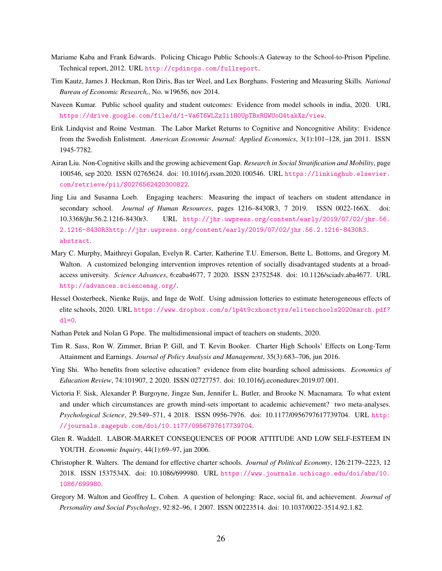- <span id="page-27-11"></span>Mariame Kaba and Frank Edwards. Policing Chicago Public Schools:A Gateway to the School-to-Prison Pipeline. Technical report, 2012. URL <http://cpdincps.com/fullreport>.
- <span id="page-27-14"></span>Tim Kautz, James J. Heckman, Ron Diris, Bas ter Weel, and Lex Borghans. Fostering and Measuring Skills. *National Bureau of Economic Research,*, No. w19656, nov 2014.
- <span id="page-27-2"></span>Naveen Kumar. Public school quality and student outcomes: Evidence from model schools in india, 2020. URL <https://drive.google.com/file/d/1-Va6T6WLZzIi1H0UpTBxROWUoO4takXz/view>.
- <span id="page-27-12"></span>Erik Lindqvist and Roine Vestman. The Labor Market Returns to Cognitive and Noncognitive Ability: Evidence from the Swedish Enlistment. *American Economic Journal: Applied Economics*, 3(1):101–128, jan 2011. ISSN 1945-7782.
- <span id="page-27-5"></span>Airan Liu. Non-Cognitive skills and the growing achievement Gap. *Research in Social Stratification and Mobility*, page 100546, sep 2020. ISSN 02765624. doi: 10.1016/j.rssm.2020.100546. URL [https://linkinghub.elsevier.](https://linkinghub.elsevier.com/retrieve/pii/S0276562420300822) [com/retrieve/pii/S0276562420300822](https://linkinghub.elsevier.com/retrieve/pii/S0276562420300822).
- <span id="page-27-9"></span>Jing Liu and Susanna Loeb. Engaging teachers: Measuring the impact of teachers on student attendance in secondary school. *Journal of Human Resources*, pages 1216–8430R3, 7 2019. ISSN 0022-166X. doi: 10.3368/jhr.56.2.1216-8430r3. URL [http://jhr.uwpress.org/content/early/2019/07/02/jhr.56.](http://jhr.uwpress.org/content/early/2019/07/02/jhr.56.2.1216-8430R3 http://jhr.uwpress.org/content/early/2019/07/02/jhr.56.2.1216-8430R3.abstract) [2.1216-8430R3http://jhr.uwpress.org/content/early/2019/07/02/jhr.56.2.1216-8430R3.](http://jhr.uwpress.org/content/early/2019/07/02/jhr.56.2.1216-8430R3 http://jhr.uwpress.org/content/early/2019/07/02/jhr.56.2.1216-8430R3.abstract) [abstract](http://jhr.uwpress.org/content/early/2019/07/02/jhr.56.2.1216-8430R3 http://jhr.uwpress.org/content/early/2019/07/02/jhr.56.2.1216-8430R3.abstract).
- <span id="page-27-8"></span>Mary C. Murphy, Maithreyi Gopalan, Evelyn R. Carter, Katherine T.U. Emerson, Bette L. Bottoms, and Gregory M. Walton. A customized belonging intervention improves retention of socially disadvantaged students at a broadaccess university. *Science Advances*, 6:eaba4677, 7 2020. ISSN 23752548. doi: 10.1126/sciadv.aba4677. URL <http://advances.sciencemag.org/>.
- <span id="page-27-3"></span>Hessel Oosterbeek, Nienke Ruijs, and Inge de Wolf. Using admission lotteries to estimate heterogeneous effects of elite schools, 2020. URL [https://www.dropbox.com/s/1p4t9cxhosctyrs/eliteschools2020march.pdf?](https://www.dropbox.com/s/1p4t9cxhosctyrs/eliteschools2020march.pdf?dl=0)  $d = 0$ .
- <span id="page-27-10"></span>Nathan Petek and Nolan G Pope. The multidimensional impact of teachers on students, 2020.
- <span id="page-27-0"></span>Tim R. Sass, Ron W. Zimmer, Brian P. Gill, and T. Kevin Booker. Charter High Schools' Effects on Long-Term Attainment and Earnings. *Journal of Policy Analysis and Management*, 35(3):683–706, jun 2016.
- <span id="page-27-4"></span>Ying Shi. Who benefits from selective education? evidence from elite boarding school admissions. *Economics of Education Review*, 74:101907, 2 2020. ISSN 02727757. doi: 10.1016/j.econedurev.2019.07.001.
- <span id="page-27-6"></span>Victoria F. Sisk, Alexander P. Burgoyne, Jingze Sun, Jennifer L. Butler, and Brooke N. Macnamara. To what extent and under which circumstances are growth mind-sets important to academic achievement? two meta-analyses. *Psychological Science*, 29:549–571, 4 2018. ISSN 0956-7976. doi: 10.1177/0956797617739704. URL [http:](http://journals.sagepub.com/doi/10.1177/0956797617739704) [//journals.sagepub.com/doi/10.1177/0956797617739704](http://journals.sagepub.com/doi/10.1177/0956797617739704).
- <span id="page-27-13"></span>Glen R. Waddell. LABOR-MARKET CONSEQUENCES OF POOR ATTITUDE AND LOW SELF-ESTEEM IN YOUTH. *Economic Inquiry*, 44(1):69–97, jan 2006.
- <span id="page-27-1"></span>Christopher R. Walters. The demand for effective charter schools. *Journal of Political Economy*, 126:2179–2223, 12 2018. ISSN 1537534X. doi: 10.1086/699980. URL [https://www.journals.uchicago.edu/doi/abs/10.](https://www.journals.uchicago.edu/doi/abs/10.1086/699980) [1086/699980](https://www.journals.uchicago.edu/doi/abs/10.1086/699980).
- <span id="page-27-7"></span>Gregory M. Walton and Geoffrey L. Cohen. A question of belonging: Race, social fit, and achievement. *Journal of Personality and Social Psychology*, 92:82–96, 1 2007. ISSN 00223514. doi: 10.1037/0022-3514.92.1.82.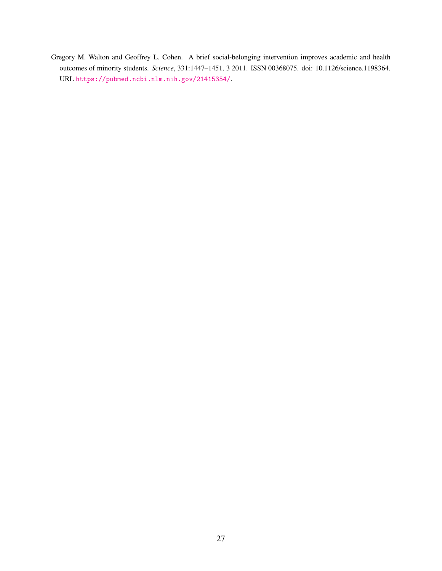<span id="page-28-0"></span>Gregory M. Walton and Geoffrey L. Cohen. A brief social-belonging intervention improves academic and health outcomes of minority students. *Science*, 331:1447–1451, 3 2011. ISSN 00368075. doi: 10.1126/science.1198364. URL <https://pubmed.ncbi.nlm.nih.gov/21415354/>.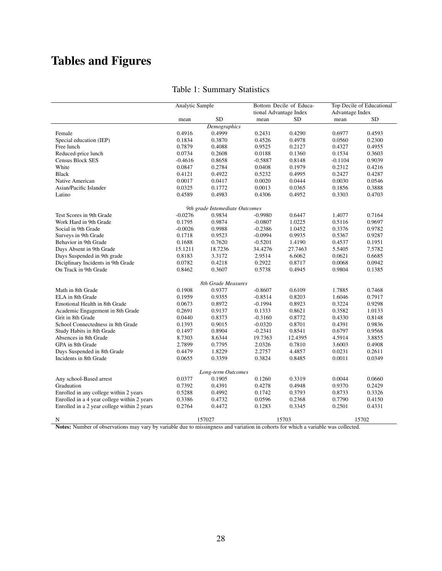# Tables and Figures

<span id="page-29-0"></span>

|                                             | <b>Analytic Sample</b> |                                |           | Bottom Decile of Educa-<br>tional Advantage Index | Top Decile of Educational<br>Advantage Index |           |
|---------------------------------------------|------------------------|--------------------------------|-----------|---------------------------------------------------|----------------------------------------------|-----------|
|                                             | mean                   | <b>SD</b>                      | mean      | SD                                                | mean                                         | <b>SD</b> |
|                                             |                        | Demographics                   |           |                                                   |                                              |           |
| Female                                      | 0.4916                 | 0.4999                         | 0.2431    | 0.4290                                            | 0.6977                                       | 0.4593    |
| Special education (IEP)                     | 0.1834                 | 0.3870                         | 0.4526    | 0.4978                                            | 0.0560                                       | 0.2300    |
| Free lunch                                  | 0.7879                 | 0.4088                         | 0.9525    | 0.2127                                            | 0.4327                                       | 0.4955    |
| Reduced-price lunch                         | 0.0734                 | 0.2608                         | 0.0188    | 0.1360                                            | 0.1534                                       | 0.3603    |
|                                             |                        |                                |           |                                                   |                                              | 0.9039    |
| <b>Census Block SES</b>                     | $-0.4616$              | 0.8658                         | $-0.5887$ | 0.8148                                            | $-0.1104$                                    |           |
| White                                       | 0.0847                 | 0.2784                         | 0.0408    | 0.1979                                            | 0.2312                                       | 0.4216    |
| <b>Black</b>                                | 0.4121                 | 0.4922                         | 0.5232    | 0.4995                                            | 0.2427                                       | 0.4287    |
| Native American                             | 0.0017                 | 0.0417                         | 0.0020    | 0.0444                                            | 0.0030                                       | 0.0546    |
| Asian/Pacific Islander                      | 0.0325                 | 0.1772                         | 0.0013    | 0.0365                                            | 0.1856                                       | 0.3888    |
| Latino                                      | 0.4589                 | 0.4983                         | 0.4306    | 0.4952                                            | 0.3303                                       | 0.4703    |
|                                             |                        | 9th grade Intemediate Outcomes |           |                                                   |                                              |           |
| Test Scores in 9th Grade                    | $-0.0276$              | 0.9834                         | $-0.9980$ | 0.6447                                            | 1.4077                                       | 0.7164    |
| Work Hard in 9th Grade                      | 0.1795                 | 0.9874                         | $-0.0807$ | 1.0225                                            | 0.5116                                       | 0.9697    |
| Social in 9th Grade                         | $-0.0026$              | 0.9988                         | $-0.2386$ | 1.0452                                            | 0.3376                                       | 0.9782    |
| Surveys in 9th Grade                        | 0.1718                 | 0.9523                         | $-0.0994$ | 0.9935                                            | 0.5367                                       | 0.9287    |
| Behavior in 9th Grade                       | 0.1688                 | 0.7620                         | $-0.5201$ | 1.4190                                            | 0.4537                                       | 0.1951    |
| Days Absent in 9th Grade                    | 15.1211                | 18.7236                        | 34.4276   | 27.7463                                           | 5.5405                                       | 7.5782    |
| Days Suspended in 9th grade                 | 0.8183                 | 3.3172                         | 2.9514    | 6.6062                                            | 0.0621                                       | 0.6685    |
| Diciplinary Incidents in 9th Grade          | 0.0782                 | 0.4218                         | 0.2922    | 0.8717                                            | 0.0068                                       | 0.0942    |
| On Track in 9th Grade                       | 0.8462                 | 0.3607                         | 0.5738    | 0.4945                                            | 0.9804                                       | 0.1385    |
|                                             |                        | 8th Grade Measures             |           |                                                   |                                              |           |
| Math in 8th Grade                           | 0.1908                 | 0.9377                         | $-0.8607$ | 0.6109                                            | 1.7885                                       | 0.7468    |
| ELA in 8th Grade                            | 0.1959                 | 0.9355                         | $-0.8514$ | 0.8203                                            | 1.6046                                       | 0.7917    |
| Emotional Health in 8th Grade               | 0.0673                 | 0.8972                         | $-0.1994$ | 0.8923                                            | 0.3224                                       | 0.9298    |
| Academic Engagement in 8th Grade            | 0.2691                 | 0.9137                         | 0.1333    | 0.8621                                            | 0.3582                                       | 1.0133    |
| Grit in 8th Grade                           | 0.0440                 | 0.8373                         | $-0.3160$ | 0.8772                                            | 0.4330                                       | 0.8148    |
| School Connectedness in 8th Grade           | 0.1393                 | 0.9015                         | $-0.0320$ | 0.8701                                            | 0.4391                                       | 0.9836    |
| Study Habits in 8th Grade                   | 0.1497                 | 0.8904                         | $-0.2341$ | 0.8541                                            | 0.6797                                       | 0.9568    |
| Absences in 8th Grade                       | 8.7303                 | 8.6344                         | 19.7363   | 12.4395                                           | 4.5914                                       | 3.8855    |
| GPA in 8th Grade                            |                        | 0.7795                         |           |                                                   |                                              | 0.4908    |
|                                             | 2.7899                 |                                | 2.0326    | 0.7810                                            | 3.6003                                       |           |
| Days Suspended in 8th Grade                 | 0.4479                 | 1.8229                         | 2.2757    | 4.4857                                            | 0.0231                                       | 0.2611    |
| Incidents in 8th Grade                      | 0.0655                 | 0.3359                         | 0.3824    | 0.8485                                            | 0.0011                                       | 0.0349    |
|                                             |                        | Long-term Outcomes             |           |                                                   |                                              |           |
| Any school-Based arrest                     | 0.0377                 | 0.1905                         | 0.1260    | 0.3319                                            | 0.0044                                       | 0.0660    |
| Graduation                                  | 0.7392                 | 0.4391                         | 0.4278    | 0.4948                                            | 0.9370                                       | 0.2429    |
| Enrolled in any college within 2 years      | 0.5288                 | 0.4992                         | 0.1742    | 0.3793                                            | 0.8733                                       | 0.3326    |
| Enrolled in a 4 year college within 2 years | 0.3386                 | 0.4732                         | 0.0596    | 0.2368                                            | 0.7790                                       | 0.4150    |
| Enrolled in a 2 year college within 2 years | 0.2764                 | 0.4472                         | 0.1283    | 0.3345                                            | 0.2501                                       | 0.4331    |
| N                                           |                        | 157027                         |           | 15703                                             |                                              | 15702     |

# Table 1: Summary Statistics

Notes: Number of observations may vary by variable due to missingness and variation in cohorts for which a variable was collected.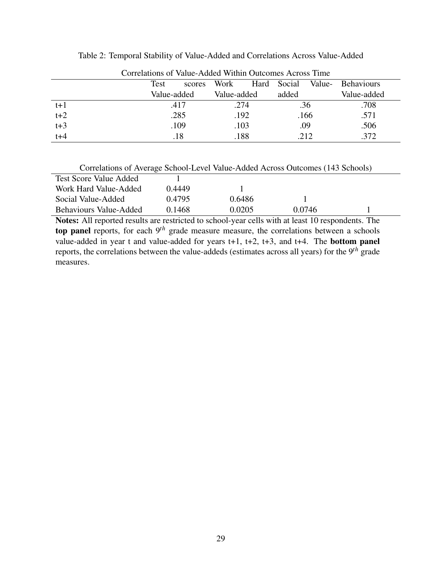| Conciations of Value-August Within Outcomes Across Thile |             |        |             |      |        |        |                   |  |
|----------------------------------------------------------|-------------|--------|-------------|------|--------|--------|-------------------|--|
|                                                          | Test        | scores | Work        | Hard | Social | Value- | <b>Behaviours</b> |  |
|                                                          | Value-added |        | Value-added |      | added  |        | Value-added       |  |
| $t+1$                                                    | .417        |        | .274        |      | .36    |        | .708              |  |
| $t+2$                                                    | .285        |        | .192        |      | .166   |        | .571              |  |
| $t+3$                                                    | .109        |        | .103        |      | .09    |        | .506              |  |
| $t + 4$                                                  | .18         |        | .188        |      | .212   |        | .372              |  |

<span id="page-30-0"></span>Table 2: Temporal Stability of Value-Added and Correlations Across Value-Added

Correlations of Value-Added Within Outcomes Across Time

| <b>Test Score Value Added</b> |        |        |        |  |
|-------------------------------|--------|--------|--------|--|
| Work Hard Value-Added         | 0.4449 |        |        |  |
| Social Value-Added            | 0.4795 | 0.6486 |        |  |
| <b>Behaviours Value-Added</b> | 0.1468 | 0.0205 | 0.0746 |  |

Notes: All reported results are restricted to school-year cells with at least 10 respondents. The top panel reports, for each 9<sup>th</sup> grade measure measure, the correlations between a schools value-added in year t and value-added for years  $t+1$ ,  $t+2$ ,  $t+3$ , and  $t+4$ . The **bottom panel** reports, the correlations between the value-addeds (estimates across all years) for the 9*th* grade measures.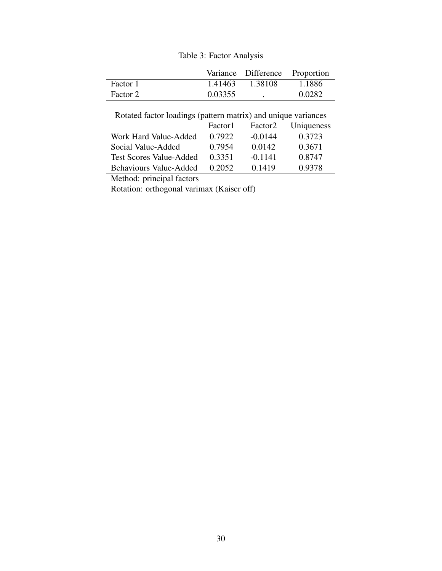## Table 3: Factor Analysis

<span id="page-31-0"></span>

|          |         | Variance Difference Proportion |            |
|----------|---------|--------------------------------|------------|
| Factor 1 | 1.41463 | 1.38108                        | - 1.1886 - |
| Factor 2 | 0.03355 |                                | 0.0282     |

Rotated factor loadings (pattern matrix) and unique variances

|                                | Factor <sup>1</sup> | Factor2   | Uniqueness |
|--------------------------------|---------------------|-----------|------------|
| Work Hard Value-Added          | 0.7922              | $-0.0144$ | 0.3723     |
| Social Value-Added             | 0.7954              | 0.0142    | 0.3671     |
| <b>Test Scores Value-Added</b> | 0.3351              | $-0.1141$ | 0.8747     |
| Behaviours Value-Added         | 0.2052              | 0.1419    | 0.9378     |

Method: principal factors

Rotation: orthogonal varimax (Kaiser off)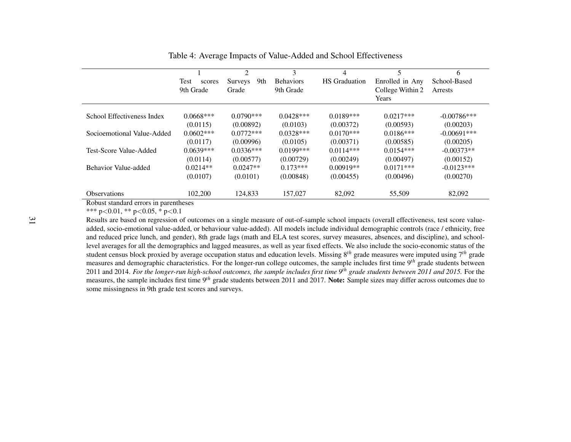|                            | <b>Test</b><br>scores<br>9th Grade | 2<br>9th<br><b>Surveys</b><br>Grade | 3<br><b>Behaviors</b><br>9th Grade | 4<br><b>HS</b> Graduation | 5<br>Enrolled in Any<br>College Within 2<br>Years | 6<br>School-Based<br><b>Arrests</b> |
|----------------------------|------------------------------------|-------------------------------------|------------------------------------|---------------------------|---------------------------------------------------|-------------------------------------|
| School Effectiveness Index | $0.0668***$                        | $0.0790***$                         | $0.0428***$                        | $0.0189***$               | $0.0217***$                                       | $-0.00786***$                       |
|                            | (0.0115)                           | (0.00892)                           | (0.0103)                           | (0.00372)                 | (0.00593)                                         | (0.00203)                           |
| Socioemotional Value-Added | $0.0602***$                        | $0.0772***$                         | $0.0328***$                        | $0.0170***$               | $0.0186***$                                       | $-0.00691***$                       |
|                            | (0.0117)                           | (0.00996)                           | (0.0105)                           | (0.00371)                 | (0.00585)                                         | (0.00205)                           |
| Test-Score Value-Added     | $0.0639***$                        | $0.0336***$                         | $0.0199$ ***                       | $0.0114***$               | $0.0154***$                                       | $-0.00373**$                        |
|                            | (0.0114)                           | (0.00577)                           | (0.00729)                          | (0.00249)                 | (0.00497)                                         | (0.00152)                           |
| Behavior Value-added       | $0.0214**$                         | $0.0247**$                          | $0.173***$                         | $0.00919**$               | $0.0171***$                                       | $-0.0123***$                        |
|                            | (0.0107)                           | (0.0101)                            | (0.00848)                          | (0.00455)                 | (0.00496)                                         | (0.00270)                           |
| <b>Observations</b>        | 102,200                            | 124,833                             | 157,027                            | 82,092                    | 55,509                                            | 82,092                              |

<span id="page-32-0"></span>Table 4: Average Impacts of Value-Added and School Effectiveness

Robust standard errors in parentheses

\*\*\* p<0.01, \*\* p<sup>&</sup>lt;0.05, \* p<0.1

 Results are based on regression of outcomes on <sup>a</sup> single measure of out-of-sample school impacts (overall effectiveness, test score valueadded, socio-emotional value-added, or behaviour value-added). All models include individual demographic controls (race / ethnicity, free and reduced price lunch, and gender), 8th grade lags (math and ELA test scores, survey measures, absences, and discipline), and schoollevel averages for all the demographics and lagged measures, as well as year fixed effects. We also include the socio-economic status of the student census block proxied by average occupation status and education levels. Missing <sup>8</sup>*th* grade measures were imputed using <sup>7</sup>*th* grade measures and demographic characteristics. For the longer-run college outcomes, the sample includes first time <sup>9</sup>*th* grade students between2011 and 2014. *For the longer-run high-school outcomes, the sample includes first time*  $9^{th}$  *grade students between 2011 and 2015. For the*  measures, the sample includes first time <sup>9</sup>*th* grade students between <sup>2011</sup> and 2017. Note: Sample sizes may differ across outcomes due tosome missingness in 9th grade test scores and surveys.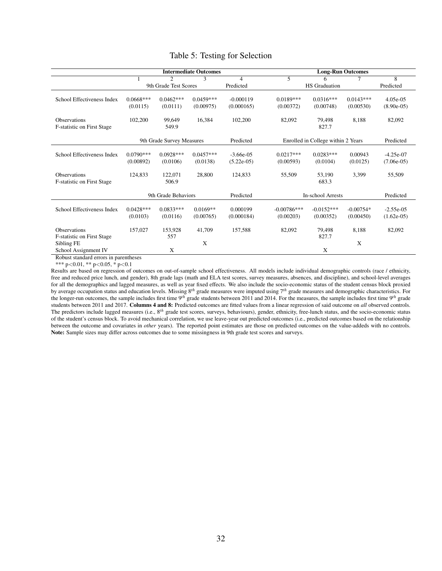<span id="page-33-0"></span>

|                                   | <b>Intermediate Outcomes</b> |                             |             |              | <b>Long-Run Outcomes</b> |                                    |             |              |
|-----------------------------------|------------------------------|-----------------------------|-------------|--------------|--------------------------|------------------------------------|-------------|--------------|
|                                   |                              | $\mathcal{D}_{\mathcal{L}}$ | 3           | 4            | 5                        |                                    |             | 8            |
|                                   |                              | 9th Grade Test Scores       |             | Predicted    |                          | <b>HS</b> Graduation               |             | Predicted    |
|                                   |                              |                             |             |              |                          |                                    |             |              |
| School Effectiveness Index        | $0.0668***$                  | $0.0462***$                 | $0.0459***$ | $-0.000119$  | $0.0189***$              | $0.0316***$                        | $0.0143***$ | 4.05e-05     |
|                                   | (0.0115)                     | (0.0111)                    | (0.00975)   | (0.000165)   | (0.00372)                | (0.00748)                          | (0.00530)   | $(8.90e-05)$ |
| <b>Observations</b>               | 102,200                      | 99,649                      | 16,384      | 102,200      | 82,092                   | 79,498                             | 8,188       | 82,092       |
| <b>F-statistic on First Stage</b> |                              | 549.9                       |             |              |                          | 827.7                              |             |              |
|                                   |                              |                             |             |              |                          |                                    |             |              |
|                                   |                              | 9th Grade Survey Measures   |             | Predicted    |                          | Enrolled in College within 2 Years |             | Predicted    |
| School Effectiveness Index        | $0.0790***$                  | $0.0928***$                 | $0.0457***$ | $-3.66e-05$  | $0.0217***$              | $0.0283***$                        | 0.00943     | $-4.25e-07$  |
|                                   | (0.00892)                    | (0.0106)                    | (0.0138)    | $(5.22e-05)$ | (0.00593)                | (0.0104)                           | (0.0125)    | $(7.06e-05)$ |
|                                   |                              |                             |             |              |                          |                                    |             |              |
| <b>Observations</b>               | 124,833                      | 122,071                     | 28,800      | 124,833      | 55,509                   | 53,190                             | 3,399       | 55,509       |
| <b>F-statistic on First Stage</b> |                              | 506.9                       |             |              |                          | 683.3                              |             |              |
|                                   |                              |                             |             |              |                          |                                    |             |              |
|                                   |                              | 9th Grade Behaviors         |             | Predicted    |                          | <b>In-school Arrests</b>           |             | Predicted    |
| School Effectiveness Index        | $0.0428***$                  | $0.0833***$                 | $0.0169**$  | 0.000199     | $-0.00786***$            | $-0.0152***$                       | $-0.00754*$ | $-2.55e-05$  |
|                                   | (0.0103)                     | (0.0116)                    | (0.00765)   | (0.000184)   | (0.00203)                | (0.00352)                          | (0.00450)   | $(1.62e-05)$ |
|                                   |                              |                             |             |              |                          |                                    |             |              |
| <b>Observations</b>               | 157,027                      | 153,928                     | 41,709      | 157,588      | 82,092                   | 79,498                             | 8,188       | 82,092       |
| F-statistic on First Stage        |                              | 557                         |             |              |                          | 827.7                              |             |              |
| Sibling FE                        |                              |                             | X           |              |                          |                                    | X           |              |
| School Assignment IV              |                              | X                           |             |              |                          | X                                  |             |              |

#### Table 5: Testing for Selection

Robust standard errors in parentheses

\*\*\*  $p<0.01$ , \*\*  $p<0.05$ , \*  $p<0.1$ 

Results are based on regression of outcomes on out-of-sample school effectiveness. All models include individual demographic controls (race / ethnicity, free and reduced price lunch, and gender), 8th grade lags (math and ELA test scores, survey measures, absences, and discipline), and school-level averages for all the demographics and lagged measures, as well as year fixed effects. We also include the socio-economic status of the student census block proxied by average occupation status and education levels. Missing 8*th* grade measures were imputed using 7*th* grade measures and demographic characteristics. For the longer-run outcomes, the sample includes first time 9*th* grade students between 2011 and 2014. For the measures, the sample includes first time 9*th* grade students between 2011 and 2017. Columns 4 and 8: Predicted outcomes are fitted values from a linear regression of said outcome on *all* observed controls. The predictors include lagged measures (i.e., 8<sup>th</sup> grade test scores, surveys, behaviours), gender, ethnicity, free-lunch status, and the socio-economic status of the student's census block. To avoid mechanical correlation, we use leave-year out predicted outcomes (i.e., predicted outcomes based on the relationship between the outcome and covariates in *other* years). The reported point estimates are those on predicted outcomes on the value-addeds with no controls. Note: Sample sizes may differ across outcomes due to some missingness in 9th grade test scores and surveys.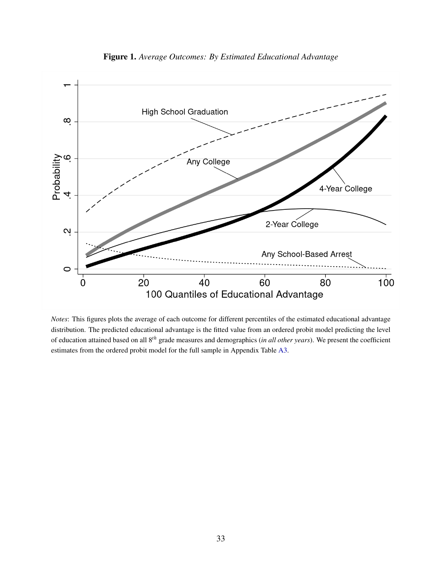

Figure 1. *Average Outcomes: By Estimated Educational Advantage*

*Notes*: This figures plots the average of each outcome for different percentiles of the estimated educational advantage distribution. The predicted educational advantage is the fitted value from an ordered probit model predicting the level of education attained based on all 8*th* grade measures and demographics (*in all other years*). We present the coefficient estimates from the ordered probit model for the full sample in Appendix Table [A3.](#page-41-0)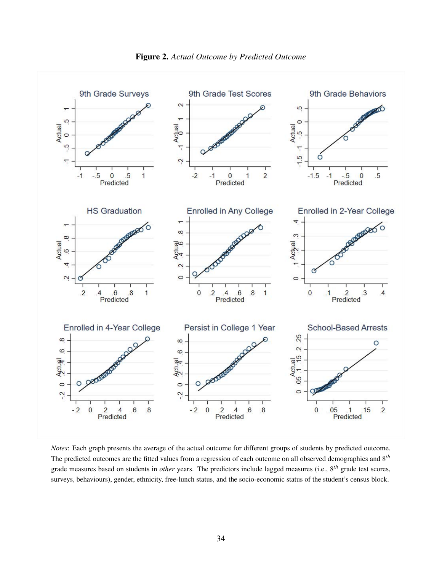

Figure 2. *Actual Outcome by Predicted Outcome*

*Notes*: Each graph presents the average of the actual outcome for different groups of students by predicted outcome. The predicted outcomes are the fitted values from a regression of each outcome on all observed demographics and 8*th* grade measures based on students in *other* years. The predictors include lagged measures (i.e., 8*th* grade test scores, surveys, behaviours), gender, ethnicity, free-lunch status, and the socio-economic status of the student's census block.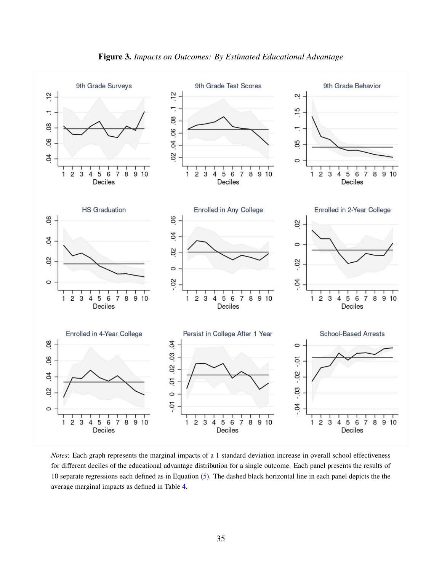

*Notes*: Each graph represents the marginal impacts of a 1 standard deviation increase in overall school effectiveness for different deciles of the educational advantage distribution for a single outcome. Each panel presents the results of 10 separate regressions each defined as in Equation [\(5\)](#page-12-1). The dashed black horizontal line in each panel depicts the the average marginal impacts as defined in Table [4.](#page-32-0)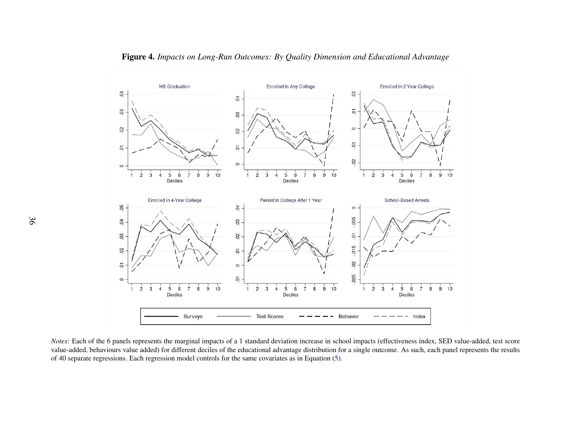

Figure 4. *Impacts on Long-Run Outcomes: By Quality Dimension and Educational Advantage*

*Notes*: Each of the 6 panels represents the marginal impacts of <sup>a</sup> 1 standard deviation increase in school impacts (effectiveness index, SED value-added, test score value-added, behaviours value added) for different deciles of the educational advantage distribution for <sup>a</sup> single outcome. As such, each panel represents the resultsof 40 separate regressions. Each regression model controls for the same covariates as in Equation [\(5\)](#page-12-2).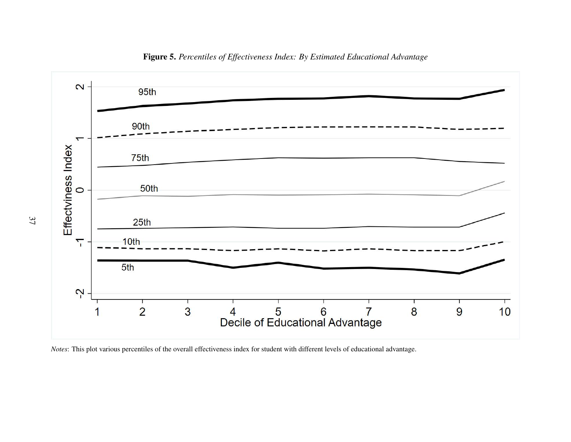

Figure 5. *Percentiles of Effectiveness Index: By Estimated Educational Advantage*

*Notes*: This plot various percentiles of the overall effectiveness index for student with different levels of educational advantage.

37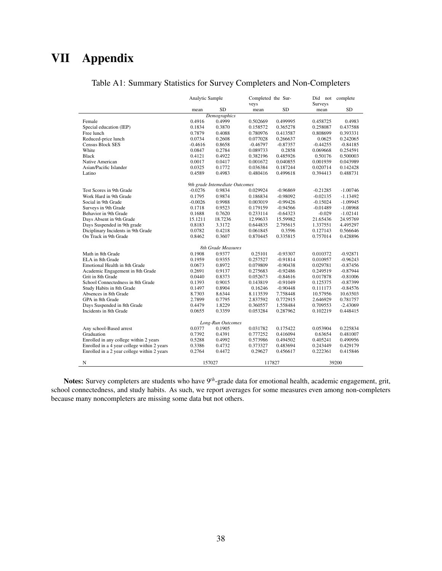# <span id="page-39-0"></span>VII Appendix

|                                             | Analytic Sample |                                | Completed the Sur- |            | Did not                | complete   |
|---------------------------------------------|-----------------|--------------------------------|--------------------|------------|------------------------|------------|
|                                             | mean            | <b>SD</b>                      | veys<br>mean       | SD         | <b>Surveys</b><br>mean | <b>SD</b>  |
|                                             |                 | Demographics                   |                    |            |                        |            |
| Female                                      | 0.4916          | 0.4999                         | 0.502669           | 0.499995   | 0.458725               | 0.4983     |
| Special education (IEP)                     | 0.1834          | 0.3870                         | 0.158572           | 0.365278   | 0.258087               | 0.437588   |
| Free lunch                                  | 0.7879          | 0.4088                         | 0.780976           | 0.413587   | 0.808699               | 0.393331   |
| Reduced-price lunch                         | 0.0734          | 0.2608                         | 0.077028           | 0.266637   | 0.0625                 | 0.242065   |
| <b>Census Block SES</b>                     | $-0.4616$       | 0.8658                         | $-0.46797$         | $-0.87357$ | $-0.44255$             | $-0.84185$ |
| White                                       | 0.0847          | 0.2784                         | 0.089733           | 0.2858     | 0.069668               | 0.254591   |
| <b>Black</b>                                | 0.4121          | 0.4922                         | 0.382196           | 0.485926   | 0.50176                | 0.500003   |
| Native American                             | 0.0017          | 0.0417                         | 0.001672           | 0.040855   | 0.001939               | 0.043989   |
| Asian/Pacific Islander                      | 0.0325          | 0.1772                         | 0.036384           | 0.187244   | 0.020714               | 0.142428   |
| Latino                                      | 0.4589          | 0.4983                         | 0.480416           | 0.499618   | 0.394413               | 0.488731   |
|                                             |                 | 9th grade Intemediate Outcomes |                    |            |                        |            |
| Test Scores in 9th Grade                    | $-0.0276$       | 0.9834                         | 0.029924           | -0.96869   | $-0.21285$             | $-1.00746$ |
| Work Hard in 9th Grade                      | 0.1795          | 0.9874                         | 0.186834           | $-0.98092$ | $-0.02135$             | $-1.13492$ |
| Social in 9th Grade                         | $-0.0026$       | 0.9988                         | 0.003019           | $-0.99426$ | $-0.15024$             | $-1.09945$ |
| Surveys in 9th Grade                        | 0.1718          | 0.9523                         | 0.179159           | $-0.94566$ | $-0.01489$             | $-1.08968$ |
| Behavior in 9th Grade                       | 0.1688          | 0.7620                         | 0.233114           | $-0.64323$ | $-0.029$               | $-1.02141$ |
| Days Absent in 9th Grade                    | 15.1211         | 18.7236                        | 12.99633           | 15.59982   | 21.65436               | 24.95769   |
| Days Suspended in 9th grade                 | 0.8183          | 3.3172                         | 0.644835           | 2.795615   | 1.337551               | 4.495297   |
| Diciplinary Incidents in 9th Grade          | 0.0782          | 0.4218                         | 0.061845           | 0.3596     | 0.127143               | 0.566646   |
| On Track in 9th Grade                       | 0.8462          | 0.3607                         | 0.870445           | 0.335815   | 0.757014               | 0.428896   |
|                                             |                 | 8th Grade Measures             |                    |            |                        |            |
| Math in 8th Grade                           | 0.1908          | 0.9377                         | 0.25101            | $-0.93307$ | 0.010372               | $-0.92871$ |
| ELA in 8th Grade                            | 0.1959          | 0.9355                         | 0.257527           | $-0.91814$ | 0.010957               | $-0.96243$ |
| Emotional Health in 8th Grade               | 0.0673          | 0.8972                         | 0.079809           | $-0.90438$ | 0.029781               | $-0.87456$ |
| Academic Engagement in 8th Grade            | 0.2691          | 0.9137                         | 0.275683           | $-0.92486$ | 0.249519               | $-0.87944$ |
| Grit in 8th Grade                           | 0.0440          | 0.8373                         | 0.052673           | $-0.84616$ | 0.017878               | $-0.81006$ |
| School Connectedness in 8th Grade           | 0.1393          | 0.9015                         | 0.143819           | $-0.91049$ | 0.125375               | $-0.87399$ |
| Study Habits in 8th Grade                   | 0.1497          | 0.8904                         | 0.16246            | $-0.90448$ | 0.111173               | $-0.84576$ |
| Absences in 8th Grade                       | 8.7303          | 8.6344                         | 8.113539           | 7.758448   | 10.57956               | 10.63503   |
| GPA in 8th Grade                            | 2.7899          | 0.7795                         | 2.837592           | 0.772915   | 2.646929               | 0.781757   |
| Days Suspended in 8th Grade                 | 0.4479          | 1.8229                         | 0.360557           | 1.558484   | 0.709553               | $-2.43069$ |
| Incidents in 8th Grade                      | 0.0655          | 0.3359                         | 0.053284           | 0.287962   | 0.102219               | 0.448415   |
|                                             |                 | Long-Run Outcomes              |                    |            |                        |            |
| Any school-Based arrest                     | 0.0377          | 0.1905                         | 0.031782           | 0.175422   | 0.053904               | 0.225834   |
| Graduation                                  | 0.7392          | 0.4391                         | 0.777252           | 0.416094   | 0.63654                | 0.481007   |
| Enrolled in any college within 2 years      | 0.5288          | 0.4992                         | 0.573986           | 0.494502   | 0.405241               | 0.490956   |
| Enrolled in a 4 year college within 2 years | 0.3386          | 0.4732                         | 0.373327           | 0.483694   | 0.243449               | 0.429179   |
| Enrolled in a 2 year college within 2 years | 0.2764          | 0.4472                         | 0.29627            | 0.456617   | 0.222361               | 0.415846   |
| N                                           |                 | 157027                         | 117827             |            |                        | 39200      |

### Table A1: Summary Statistics for Survey Completers and Non-Completers

Notes: Survey completers are students who have  $9<sup>th</sup>$ -grade data for emotional health, academic engagement, grit, school connectedness, and study habits. As such, we report averages for some measures even among non-completers because many noncompleters are missing some data but not others.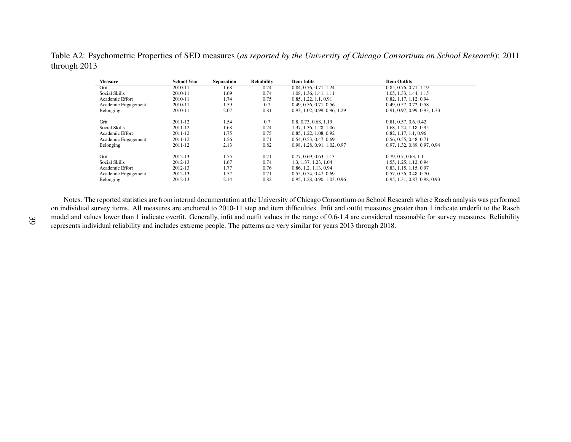Table A2: Psychometric Properties of SED measures (as reported by the University of Chicago Consortium on School Research): 2011 through 2013

| <b>Measure</b>      | <b>School Year</b> | <b>Separation</b> | <b>Reliability</b> | <b>Item Infits</b>           | <b>Item Outfits</b>          |
|---------------------|--------------------|-------------------|--------------------|------------------------------|------------------------------|
| Grit                | 2010-11            | 1.68              | 0.74               | 0.84, 0.76, 0.71, 1.24       | 0.85, 0.76, 0.71, 1.19       |
| Social Skills       | 2010-11            | 1.69              | 0.74               | 1.08, 1.36, 1.41, 1.11       | 1.05, 1.33, 1.44, 1.15       |
| Academic Effort     | 2010-11            | 1.74              | 0.75               | 0.85, 1.22, 1.1, 0.91        | 0.82, 1.17, 1.12, 0.94       |
| Academic Engagement | 2010-11            | 1.59              | 0.7                | 0.49, 0.56, 0.71, 0.56       | 0.49, 0.57, 0.72, 0.58       |
| Belonging           | 2010-11            | 2.07              | 0.81               | 0.93, 1.02, 0.99, 0.96, 1.29 | 0.91, 0.97, 0.99, 0.93, 1.33 |
| Grit                | 2011-12            | 1.54              | 0.7                | 0.8, 0.73, 0.68, 1.19        | 0.81, 0.57, 0.6, 0.42        |
| Social Skills       | 2011-12            | 1.68              | 0.74               | 1.37, 1.36, 1.28, 1.06       | 1.68, 1.24, 1.18, 0.95       |
| Academic Effort     | 2011-12            | 1.75              | 0.75               | 0.85, 1.22, 1.08, 0.92       | 0.82, 1.17, 1.1, 0.96        |
| Academic Engagement | 2011-12            | 1.56              | 0.71               | 0.54, 0.53, 0.47, 0.69       | 0.56, 0.55, 0.48, 0.71       |
| Belonging           | 2011-12            | 2.13              | 0.82               | 0.98, 1.28, 0.91, 1.02, 0.97 | 0.97, 1.32, 0.89, 0.97, 0.94 |
| Grit                | 2012-13            | 1.55              | 0.71               | 0.77, 0.69, 0.63, 1.13       | 0.79, 0.7, 0.63, 1.1         |
| Social Skills       | 2012-13            | 1.67              | 0.74               | 1.3, 1.37, 1.23, 1.04        | 1.55, 1.25, 1.12, 0.94       |
| Academic Effort     | 2012-13            | 1.77              | 0.76               | 0.86, 1.2, 1.13, 0.94        | 0.83, 1.15, 1.15, 0.97       |
| Academic Engagement | 2012-13            | 1.57              | 0.71               | 0.55, 0.54, 0.47, 0.69       | 0.57, 0.56, 0.48, 0.70       |
| Belonging           | 2012-13            | 2.14              | 0.82               | 0.95, 1.28, 0.90, 1.03, 0.96 | 0.95, 1.31, 0.87, 0.98, 0.93 |

<span id="page-40-0"></span>Notes. The reported statistics are from internal documentation at the University of Chicago Consortium on School Research where Rasch analysis was performed on individual survey items. All measures are anchored to 2010-11 step and item difficulties. Infit and outfit measures greater than 1 indicate underfit to the Rasch model and values lower than 1 indicate overfit. Generally, infit and outfit values in the range of 0.6-1.4 are considered reasonable for survey measures. Reliabilityrepresents individual reliability and includes extreme people. The patterns are very similar for years 2013 through 2018.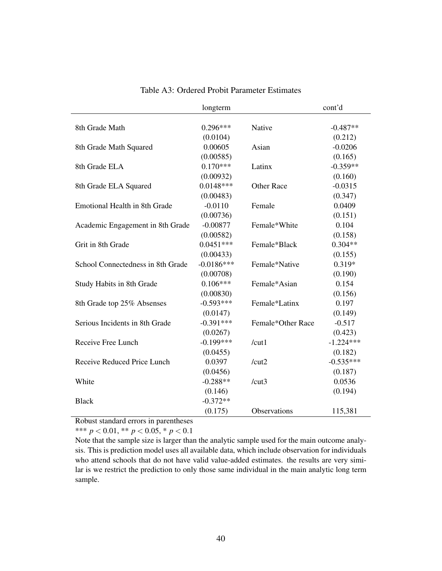<span id="page-41-0"></span>

|                                      | longterm     |                     | cont'd      |
|--------------------------------------|--------------|---------------------|-------------|
|                                      |              |                     |             |
| 8th Grade Math                       | $0.296***$   | Native              | $-0.487**$  |
|                                      | (0.0104)     |                     | (0.212)     |
| 8th Grade Math Squared               | 0.00605      | Asian               | $-0.0206$   |
|                                      | (0.00585)    |                     | (0.165)     |
| 8th Grade ELA                        | $0.170***$   | Latinx              | $-0.359**$  |
|                                      | (0.00932)    |                     | (0.160)     |
| 8th Grade ELA Squared                | $0.0148***$  | <b>Other Race</b>   | $-0.0315$   |
|                                      | (0.00483)    |                     | (0.347)     |
| <b>Emotional Health in 8th Grade</b> | $-0.0110$    | Female              | 0.0409      |
|                                      | (0.00736)    |                     | (0.151)     |
| Academic Engagement in 8th Grade     | $-0.00877$   | Female*White        | 0.104       |
|                                      | (0.00582)    |                     | (0.158)     |
| Grit in 8th Grade                    | $0.0451***$  | Female*Black        | $0.304**$   |
|                                      | (0.00433)    |                     | (0.155)     |
| School Connectedness in 8th Grade    | $-0.0186***$ | Female*Native       | $0.319*$    |
|                                      | (0.00708)    |                     | (0.190)     |
| Study Habits in 8th Grade            | $0.106***$   | Female*Asian        | 0.154       |
|                                      | (0.00830)    |                     | (0.156)     |
| 8th Grade top 25% Absenses           | $-0.593***$  | Female*Latinx       | 0.197       |
|                                      | (0.0147)     |                     | (0.149)     |
| Serious Incidents in 8th Grade       | $-0.391***$  | Female*Other Race   | $-0.517$    |
|                                      | (0.0267)     |                     | (0.423)     |
| Receive Free Lunch                   | $-0.199***$  | /cut1               | $-1.224***$ |
|                                      | (0.0455)     |                     | (0.182)     |
| Receive Reduced Price Lunch          | 0.0397       | /cut2               | $-0.535***$ |
|                                      | (0.0456)     |                     | (0.187)     |
| White                                | $-0.288**$   | /cut3               | 0.0536      |
|                                      | (0.146)      |                     | (0.194)     |
| <b>Black</b>                         | $-0.372**$   |                     |             |
|                                      | (0.175)      | <b>Observations</b> | 115,381     |

### Table A3: Ordered Probit Parameter Estimates

Robust standard errors in parentheses

\*\*\*  $p < 0.01$ , \*\*  $p < 0.05$ , \*  $p < 0.1$ 

Note that the sample size is larger than the analytic sample used for the main outcome analysis. This is prediction model uses all available data, which include observation for individuals who attend schools that do not have valid value-added estimates. the results are very similar is we restrict the prediction to only those same individual in the main analytic long term sample.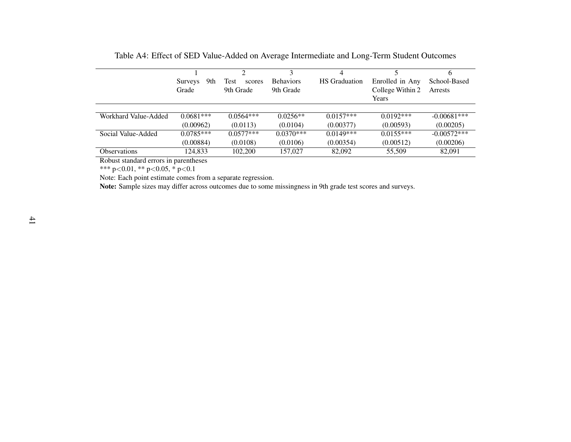|                      | 9th<br>Surveys | Test<br>scores | <b>Behaviors</b> | <b>HS</b> Graduation | Enrolled in Any  | School-Based  |
|----------------------|----------------|----------------|------------------|----------------------|------------------|---------------|
|                      | Grade          | 9th Grade      | 9th Grade        |                      | College Within 2 | Arrests       |
|                      |                |                |                  |                      | Years            |               |
| Workhard Value-Added | $0.0681***$    | $0.0564***$    | $0.0256**$       | $0.0157***$          | $0.0192***$      | $-0.00681***$ |
|                      | (0.00962)      | (0.0113)       | (0.0104)         | (0.00377)            | (0.00593)        | (0.00205)     |
| Social Value-Added   | $0.0785***$    | $0.0577***$    | $0.0370***$      | $0.0149***$          | $0.0155***$      | $-0.00572***$ |
|                      | (0.00884)      | (0.0108)       | (0.0106)         | (0.00354)            | (0.00512)        | (0.00206)     |
| <b>Observations</b>  | 124.833        | 102,200        | 157,027          | 82,092               | 55,509           | 82,091        |

<span id="page-42-0"></span>Table A4: Effect of SED Value-Added on Average Intermediate and Long-Term Student Outcomes

Robust standard errors in parentheses

\*\*\* p<0.01, \*\* p<sup>&</sup>lt;0.05, \* p<0.1

Note: Each point estimate comes from <sup>a</sup> separate regression.

Note: Sample sizes may differ across outcomes due to some missingness in 9th grade test scores and surveys.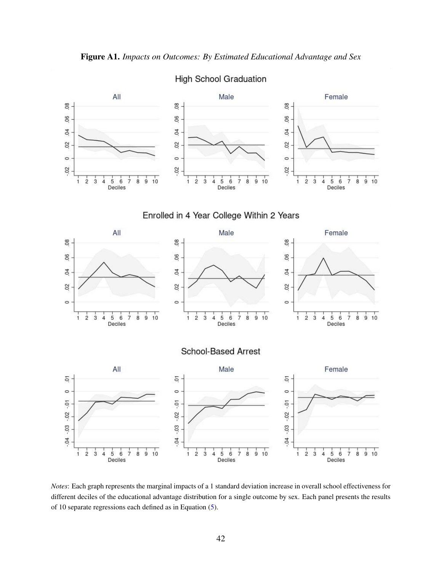



*Notes*: Each graph represents the marginal impacts of a 1 standard deviation increase in overall school effectiveness for different deciles of the educational advantage distribution for a single outcome by sex. Each panel presents the results of 10 separate regressions each defined as in Equation [\(5\)](#page-12-1).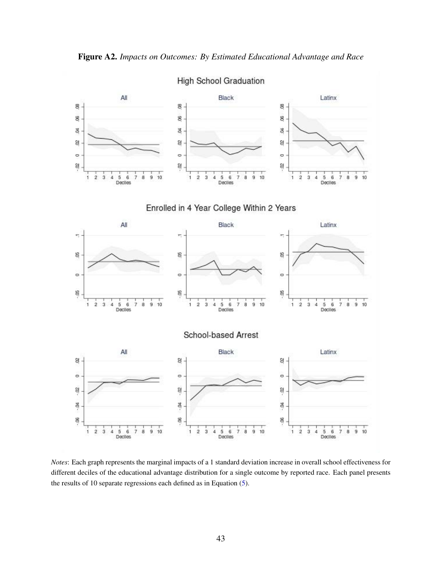



*Notes*: Each graph represents the marginal impacts of a 1 standard deviation increase in overall school effectiveness for different deciles of the educational advantage distribution for a single outcome by reported race. Each panel presents the results of 10 separate regressions each defined as in Equation [\(5\)](#page-12-1).